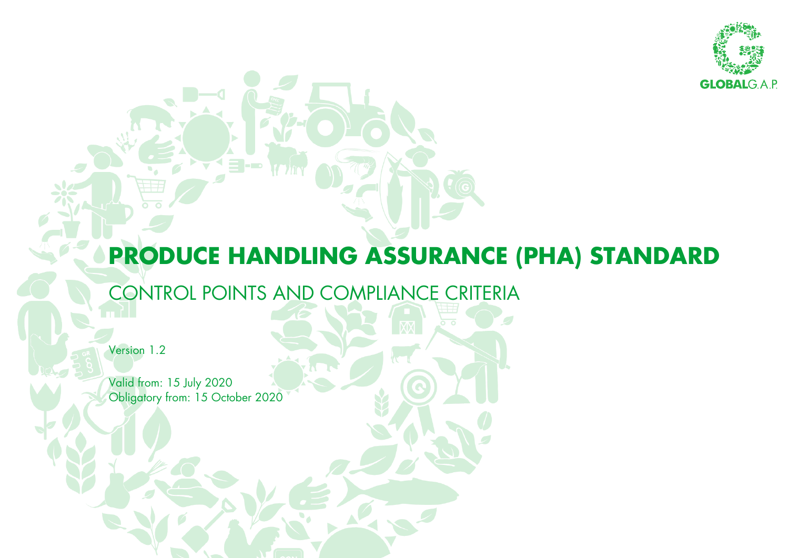

## **PRODUCE HANDLING ASSURANCE (PHA) STANDARD**

### CONTROL POINTS AND COMPLIANCE CRITERIA

Version 1.2

Valid from: 15 July 2020 Obligatory from: 15 October 2020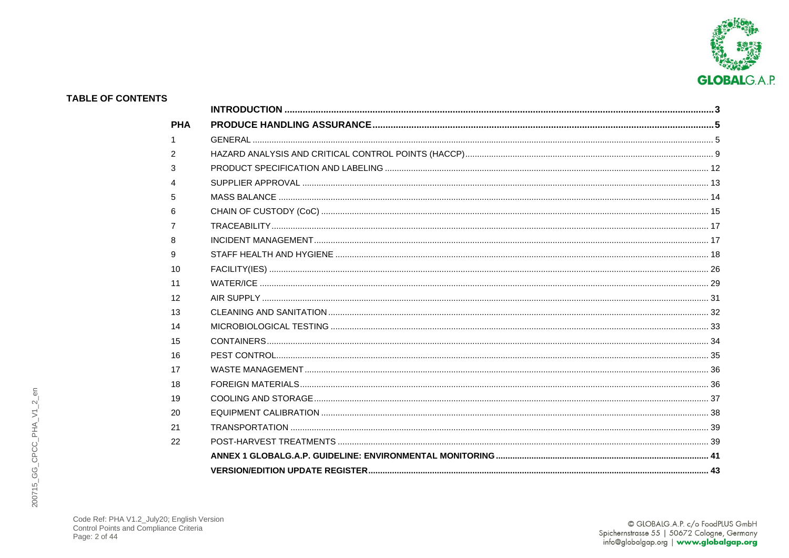

#### **TABLE OF CONTENTS** PHA  $\overline{1}$  $G$ FNFRAI  $\mathcal{P}$  $\mathcal{R}$  $SIIPPIIFR APPROVAI$  and the contract of the contract of the contract of the contract of the contract of the contract of the contract of the contract of the contract of the contract of the contract of the contract of the contract  $\overline{A}$ MASS BALANCE 14 5 6  $\overline{7}$ INCIDENT MANAGEMENT 17  $\mathsf{R}$ 9  $10$ <sup>26</sup> يست بين المستخدمات المستخدمات المستخدمات المستخدمات المستخدمات المستخدمات المستخدمات المستخدمات المستخدمات المستخدمات المستخدمات المستخدمات المستخدمات المستخدمات المستخدمات المستخدمات المستخدمات المستخدمات المستخدمات  $11$  $12$  $\Delta$ IR SUPPI Y 31  $13$ 14 15 16 PEST CONTROL 35 17 18 19  $20$ FOUJIPMENT CALIBRATION 38  $21$ 22

# 200715\_GG\_CPCC\_PHA\_V1\_2\_en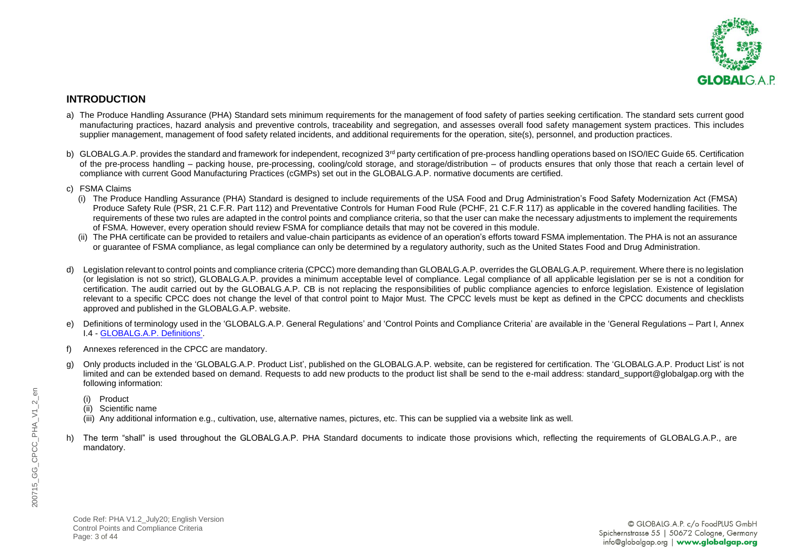

#### <span id="page-2-0"></span>**INTRODUCTION**

- a) The Produce Handling Assurance (PHA) Standard sets minimum requirements for the management of food safety of parties seeking certification. The standard sets current good manufacturing practices, hazard analysis and preventive controls, traceability and segregation, and assesses overall food safety management system practices. This includes supplier management, management of food safety related incidents, and additional requirements for the operation, site(s), personnel, and production practices.
- b) GLOBALG.A.P. provides the standard and framework for independent, recognized 3<sup>rd</sup> party certification of pre-process handling operations based on ISO/IEC Guide 65. Certification of the pre-process handling – packing house, pre-processing, cooling/cold storage, and storage/distribution – of products ensures that only those that reach a certain level of compliance with current Good Manufacturing Practices (cGMPs) set out in the GLOBALG.A.P. normative documents are certified.
- c) FSMA Claims
	- (i) The Produce Handling Assurance (PHA) Standard is designed to include requirements of the USA Food and Drug Administration's Food Safety Modernization Act (FMSA) Produce Safety Rule (PSR, 21 C.F.R. Part 112) and Preventative Controls for Human Food Rule (PCHF, 21 C.F.R 117) as applicable in the covered handling facilities. The requirements of these two rules are adapted in the control points and compliance criteria, so that the user can make the necessary adjustments to implement the requirements of FSMA. However, every operation should review FSMA for compliance details that may not be covered in this module.
	- (ii) The PHA certificate can be provided to retailers and value-chain participants as evidence of an operation's efforts toward FSMA implementation. The PHA is not an assurance or guarantee of FSMA compliance, as legal compliance can only be determined by a regulatory authority, such as the United States Food and Drug Administration.
- d) Legislation relevant to control points and compliance criteria (CPCC) more demanding than GLOBALG.A.P. overrides the GLOBALG.A.P. requirement. Where there is no legislation (or legislation is not so strict), GLOBALG.A.P. provides a minimum acceptable level of compliance. Legal compliance of all applicable legislation per se is not a condition for certification. The audit carried out by the GLOBALG.A.P. CB is not replacing the responsibilities of public compliance agencies to enforce legislation. Existence of legislation relevant to a specific CPCC does not change the level of that control point to Major Must. The CPCC levels must be kept as defined in the CPCC documents and checklists approved and published in the GLOBALG.A.P. website.
- e) Definitions of terminology used in the 'GLOBALG.A.P. General Regulations' and 'Control Points and Compliance Criteria' are available in the 'General Regulations Part I, Annex I.4 - [GLOBALG.A.P. Definitions'](https://www.globalgap.org/.content/.galleries/documents/190201_GG_GR_Part-I_Annex_I-4_V5_2_en.pdf).
- f) Annexes referenced in the CPCC are mandatory.
- g) Only products included in the 'GLOBALG.A.P. Product List', published on the GLOBALG.A.P. website, can be registered for certification. The 'GLOBALG.A.P. Product List' is not limited and can be extended based on demand. Requests to add new products to the product list shall be send to the e-mail address: standard support@globalgap.org with the following information:
	- (i) Product
	- (ii) Scientific name
	- (iii) Any additional information e.g., cultivation, use, alternative names, pictures, etc. This can be supplied via a website link as well.
- h) The term "shall" is used throughout the GLOBALG.A.P. PHA Standard documents to indicate those provisions which, reflecting the requirements of GLOBALG.A.P., are mandatory.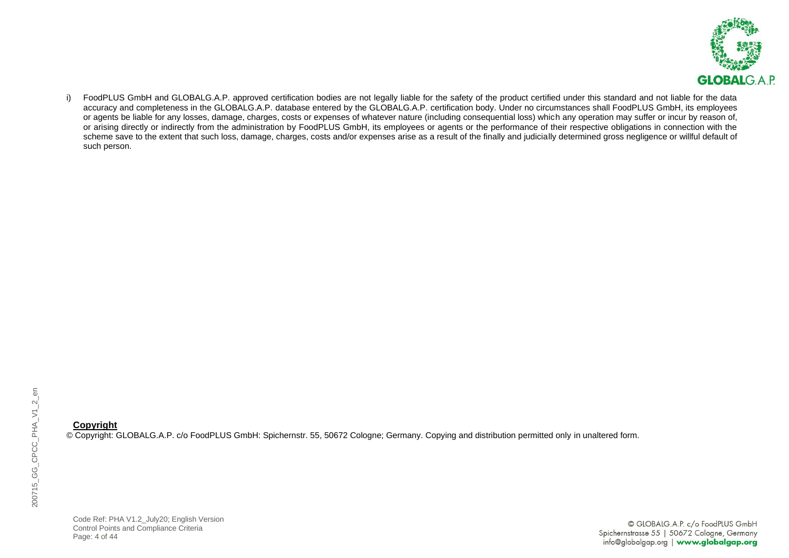

i) FoodPLUS GmbH and GLOBALG.A.P. approved certification bodies are not legally liable for the safety of the product certified under this standard and not liable for the data accuracy and completeness in the GLOBALG.A.P. database entered by the GLOBALG.A.P. certification body. Under no circumstances shall FoodPLUS GmbH, its employees or agents be liable for any losses, damage, charges, costs or expenses of whatever nature (including consequential loss) which any operation may suffer or incur by reason of, or arising directly or indirectly from the administration by FoodPLUS GmbH, its employees or agents or the performance of their respective obligations in connection with the scheme save to the extent that such loss, damage, charges, costs and/or expenses arise as a result of the finally and judicially determined gross negligence or willful default of such person.

#### **Copyright**

© Copyright: GLOBALG.A.P. c/o FoodPLUS GmbH: Spichernstr. 55, 50672 Cologne; Germany. Copying and distribution permitted only in unaltered form.

Code Ref: PHA V1.2\_July20; English Version Control Points and Compliance Criteria Page: 4 of 44

© GLOBALG.A.P. c/o FoodPLUS GmbH Spichernstrasse 55 | 50672 Cologne, Germany info@globalgap.org | www.globalgap.org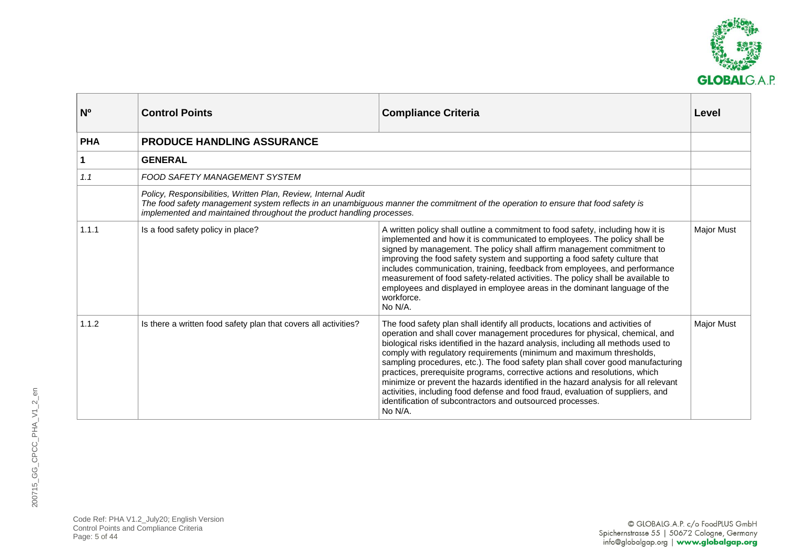

<span id="page-4-1"></span><span id="page-4-0"></span>

| N <sub>o</sub> | <b>Control Points</b>                                                                                                                                                                                                                                                        | <b>Compliance Criteria</b>                                                                                                                                                                                                                                                                                                                                                                                                                                                                                                                                                                                                                                                                                                                    | Level             |
|----------------|------------------------------------------------------------------------------------------------------------------------------------------------------------------------------------------------------------------------------------------------------------------------------|-----------------------------------------------------------------------------------------------------------------------------------------------------------------------------------------------------------------------------------------------------------------------------------------------------------------------------------------------------------------------------------------------------------------------------------------------------------------------------------------------------------------------------------------------------------------------------------------------------------------------------------------------------------------------------------------------------------------------------------------------|-------------------|
| <b>PHA</b>     | <b>PRODUCE HANDLING ASSURANCE</b>                                                                                                                                                                                                                                            |                                                                                                                                                                                                                                                                                                                                                                                                                                                                                                                                                                                                                                                                                                                                               |                   |
| 1              | <b>GENERAL</b>                                                                                                                                                                                                                                                               |                                                                                                                                                                                                                                                                                                                                                                                                                                                                                                                                                                                                                                                                                                                                               |                   |
| 1.1            | FOOD SAFETY MANAGEMENT SYSTEM                                                                                                                                                                                                                                                |                                                                                                                                                                                                                                                                                                                                                                                                                                                                                                                                                                                                                                                                                                                                               |                   |
|                | Policy, Responsibilities, Written Plan, Review, Internal Audit<br>The food safety management system reflects in an unambiguous manner the commitment of the operation to ensure that food safety is<br>implemented and maintained throughout the product handling processes. |                                                                                                                                                                                                                                                                                                                                                                                                                                                                                                                                                                                                                                                                                                                                               |                   |
| 1.1.1          | Is a food safety policy in place?                                                                                                                                                                                                                                            | A written policy shall outline a commitment to food safety, including how it is<br>implemented and how it is communicated to employees. The policy shall be<br>signed by management. The policy shall affirm management commitment to<br>improving the food safety system and supporting a food safety culture that<br>includes communication, training, feedback from employees, and performance<br>measurement of food safety-related activities. The policy shall be available to<br>employees and displayed in employee areas in the dominant language of the<br>workforce.<br>No N/A.                                                                                                                                                    | <b>Major Must</b> |
| 1.1.2          | Is there a written food safety plan that covers all activities?                                                                                                                                                                                                              | The food safety plan shall identify all products, locations and activities of<br>operation and shall cover management procedures for physical, chemical, and<br>biological risks identified in the hazard analysis, including all methods used to<br>comply with regulatory requirements (minimum and maximum thresholds,<br>sampling procedures, etc.). The food safety plan shall cover good manufacturing<br>practices, prerequisite programs, corrective actions and resolutions, which<br>minimize or prevent the hazards identified in the hazard analysis for all relevant<br>activities, including food defense and food fraud, evaluation of suppliers, and<br>identification of subcontractors and outsourced processes.<br>No N/A. | <b>Major Must</b> |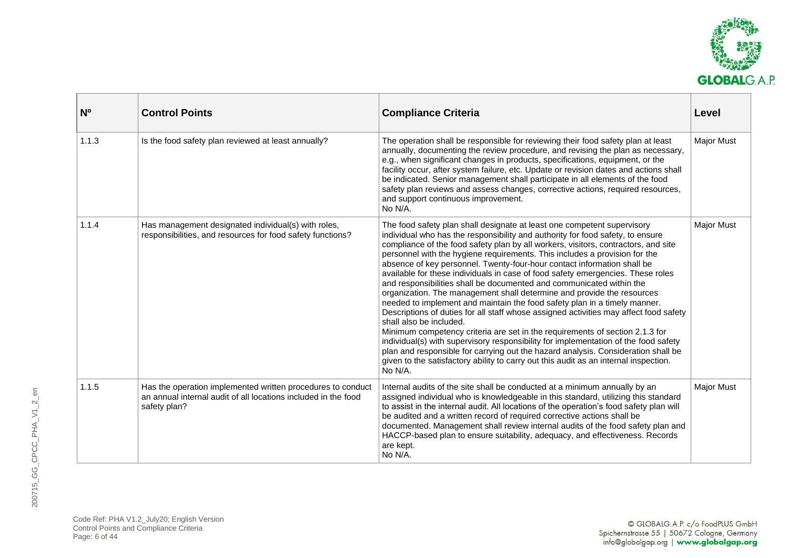

| N <sup>o</sup> | <b>Control Points</b>                                                                                                                         | <b>Compliance Criteria</b>                                                                                                                                                                                                                                                                                                                                                                                                                                                                                                                                                                                                                                                                                                                                                                                                                                                                                                                                                                                                                                                                                                                                                                                    | Level             |
|----------------|-----------------------------------------------------------------------------------------------------------------------------------------------|---------------------------------------------------------------------------------------------------------------------------------------------------------------------------------------------------------------------------------------------------------------------------------------------------------------------------------------------------------------------------------------------------------------------------------------------------------------------------------------------------------------------------------------------------------------------------------------------------------------------------------------------------------------------------------------------------------------------------------------------------------------------------------------------------------------------------------------------------------------------------------------------------------------------------------------------------------------------------------------------------------------------------------------------------------------------------------------------------------------------------------------------------------------------------------------------------------------|-------------------|
| 1.1.3          | Is the food safety plan reviewed at least annually?                                                                                           | The operation shall be responsible for reviewing their food safety plan at least<br>annually, documenting the review procedure, and revising the plan as necessary,<br>e.g., when significant changes in products, specifications, equipment, or the<br>facility occur, after system failure, etc. Update or revision dates and actions shall<br>be indicated. Senior management shall participate in all elements of the food<br>safety plan reviews and assess changes, corrective actions, required resources,<br>and support continuous improvement.<br>No N/A.                                                                                                                                                                                                                                                                                                                                                                                                                                                                                                                                                                                                                                           | <b>Major Must</b> |
| 1.1.4          | Has management designated individual(s) with roles,<br>responsibilities, and resources for food safety functions?                             | The food safety plan shall designate at least one competent supervisory<br>individual who has the responsibility and authority for food safety, to ensure<br>compliance of the food safety plan by all workers, visitors, contractors, and site<br>personnel with the hygiene requirements. This includes a provision for the<br>absence of key personnel. Twenty-four-hour contact information shall be<br>available for these individuals in case of food safety emergencies. These roles<br>and responsibilities shall be documented and communicated within the<br>organization. The management shall determine and provide the resources<br>needed to implement and maintain the food safety plan in a timely manner.<br>Descriptions of duties for all staff whose assigned activities may affect food safety<br>shall also be included.<br>Minimum competency criteria are set in the requirements of section 2.1.3 for<br>individual(s) with supervisory responsibility for implementation of the food safety<br>plan and responsible for carrying out the hazard analysis. Consideration shall be<br>given to the satisfactory ability to carry out this audit as an internal inspection.<br>No N/A. | <b>Major Must</b> |
| 1.1.5          | Has the operation implemented written procedures to conduct<br>an annual internal audit of all locations included in the food<br>safety plan? | Internal audits of the site shall be conducted at a minimum annually by an<br>assigned individual who is knowledgeable in this standard, utilizing this standard<br>to assist in the internal audit. All locations of the operation's food safety plan will<br>be audited and a written record of required corrective actions shall be<br>documented. Management shall review internal audits of the food safety plan and<br>HACCP-based plan to ensure suitability, adequacy, and effectiveness. Records<br>are kept.<br>No N/A.                                                                                                                                                                                                                                                                                                                                                                                                                                                                                                                                                                                                                                                                             | <b>Major Must</b> |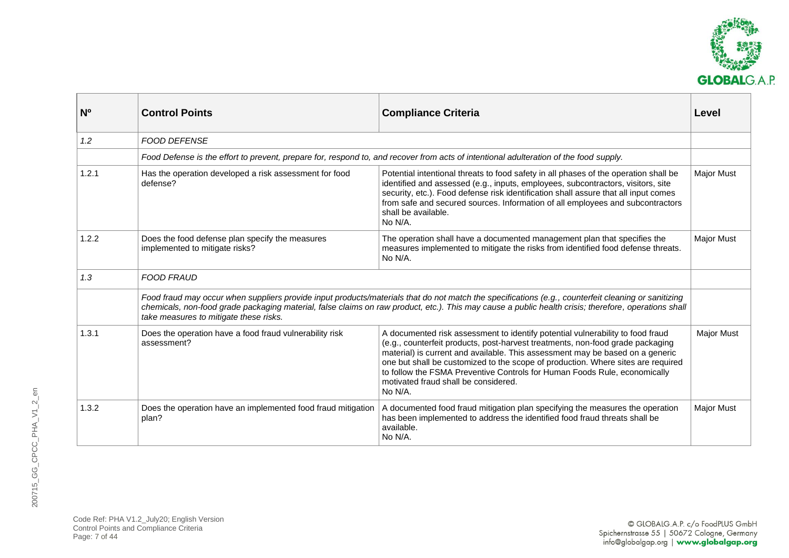

| N <sub>0</sub> | <b>Control Points</b>                                                                                                                                                                                                                                                                                                                                 | <b>Compliance Criteria</b>                                                                                                                                                                                                                                                                                                                                                                                                                                            | Level             |
|----------------|-------------------------------------------------------------------------------------------------------------------------------------------------------------------------------------------------------------------------------------------------------------------------------------------------------------------------------------------------------|-----------------------------------------------------------------------------------------------------------------------------------------------------------------------------------------------------------------------------------------------------------------------------------------------------------------------------------------------------------------------------------------------------------------------------------------------------------------------|-------------------|
| 1.2            | <b>FOOD DEFENSE</b>                                                                                                                                                                                                                                                                                                                                   |                                                                                                                                                                                                                                                                                                                                                                                                                                                                       |                   |
|                |                                                                                                                                                                                                                                                                                                                                                       | Food Defense is the effort to prevent, prepare for, respond to, and recover from acts of intentional adulteration of the food supply.                                                                                                                                                                                                                                                                                                                                 |                   |
| 1.2.1          | Has the operation developed a risk assessment for food<br>defense?                                                                                                                                                                                                                                                                                    | Potential intentional threats to food safety in all phases of the operation shall be<br>identified and assessed (e.g., inputs, employees, subcontractors, visitors, site<br>security, etc.). Food defense risk identification shall assure that all input comes<br>from safe and secured sources. Information of all employees and subcontractors<br>shall be available.<br>No N/A.                                                                                   | <b>Major Must</b> |
| 1.2.2          | Does the food defense plan specify the measures<br>implemented to mitigate risks?                                                                                                                                                                                                                                                                     | The operation shall have a documented management plan that specifies the<br>measures implemented to mitigate the risks from identified food defense threats.<br>No N/A.                                                                                                                                                                                                                                                                                               | <b>Major Must</b> |
| 1.3            | <b>FOOD FRAUD</b>                                                                                                                                                                                                                                                                                                                                     |                                                                                                                                                                                                                                                                                                                                                                                                                                                                       |                   |
|                | Food fraud may occur when suppliers provide input products/materials that do not match the specifications (e.g., counterfeit cleaning or sanitizing<br>chemicals, non-food grade packaging material, false claims on raw product, etc.). This may cause a public health crisis; therefore, operations shall<br>take measures to mitigate these risks. |                                                                                                                                                                                                                                                                                                                                                                                                                                                                       |                   |
| 1.3.1          | Does the operation have a food fraud vulnerability risk<br>assessment?                                                                                                                                                                                                                                                                                | A documented risk assessment to identify potential vulnerability to food fraud<br>(e.g., counterfeit products, post-harvest treatments, non-food grade packaging<br>material) is current and available. This assessment may be based on a generic<br>one but shall be customized to the scope of production. Where sites are required<br>to follow the FSMA Preventive Controls for Human Foods Rule, economically<br>motivated fraud shall be considered.<br>No N/A. | <b>Major Must</b> |
| 1.3.2          | Does the operation have an implemented food fraud mitigation<br>plan?                                                                                                                                                                                                                                                                                 | A documented food fraud mitigation plan specifying the measures the operation<br>has been implemented to address the identified food fraud threats shall be<br>available.<br>No N/A.                                                                                                                                                                                                                                                                                  | <b>Major Must</b> |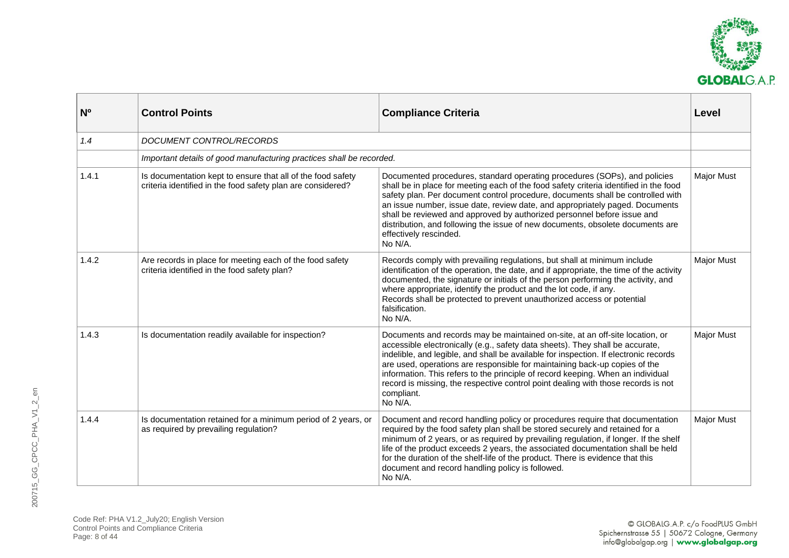

| <b>N°</b> | <b>Control Points</b>                                                                                                      | <b>Compliance Criteria</b>                                                                                                                                                                                                                                                                                                                                                                                                                                                                                                              | Level             |
|-----------|----------------------------------------------------------------------------------------------------------------------------|-----------------------------------------------------------------------------------------------------------------------------------------------------------------------------------------------------------------------------------------------------------------------------------------------------------------------------------------------------------------------------------------------------------------------------------------------------------------------------------------------------------------------------------------|-------------------|
| 1.4       | <b>DOCUMENT CONTROL/RECORDS</b>                                                                                            |                                                                                                                                                                                                                                                                                                                                                                                                                                                                                                                                         |                   |
|           | Important details of good manufacturing practices shall be recorded.                                                       |                                                                                                                                                                                                                                                                                                                                                                                                                                                                                                                                         |                   |
| 1.4.1     | Is documentation kept to ensure that all of the food safety<br>criteria identified in the food safety plan are considered? | Documented procedures, standard operating procedures (SOPs), and policies<br>shall be in place for meeting each of the food safety criteria identified in the food<br>safety plan. Per document control procedure, documents shall be controlled with<br>an issue number, issue date, review date, and appropriately paged. Documents<br>shall be reviewed and approved by authorized personnel before issue and<br>distribution, and following the issue of new documents, obsolete documents are<br>effectively rescinded.<br>No N/A. | <b>Major Must</b> |
| 1.4.2     | Are records in place for meeting each of the food safety<br>criteria identified in the food safety plan?                   | Records comply with prevailing regulations, but shall at minimum include<br>identification of the operation, the date, and if appropriate, the time of the activity<br>documented, the signature or initials of the person performing the activity, and<br>where appropriate, identify the product and the lot code, if any.<br>Records shall be protected to prevent unauthorized access or potential<br>falsification.<br>No N/A.                                                                                                     | <b>Major Must</b> |
| 1.4.3     | Is documentation readily available for inspection?                                                                         | Documents and records may be maintained on-site, at an off-site location, or<br>accessible electronically (e.g., safety data sheets). They shall be accurate,<br>indelible, and legible, and shall be available for inspection. If electronic records<br>are used, operations are responsible for maintaining back-up copies of the<br>information. This refers to the principle of record keeping. When an individual<br>record is missing, the respective control point dealing with those records is not<br>compliant.<br>No N/A.    | <b>Major Must</b> |
| 1.4.4     | Is documentation retained for a minimum period of 2 years, or<br>as required by prevailing regulation?                     | Document and record handling policy or procedures require that documentation<br>required by the food safety plan shall be stored securely and retained for a<br>minimum of 2 years, or as required by prevailing regulation, if longer. If the shelf<br>life of the product exceeds 2 years, the associated documentation shall be held<br>for the duration of the shelf-life of the product. There is evidence that this<br>document and record handling policy is followed.<br>No N/A.                                                | <b>Major Must</b> |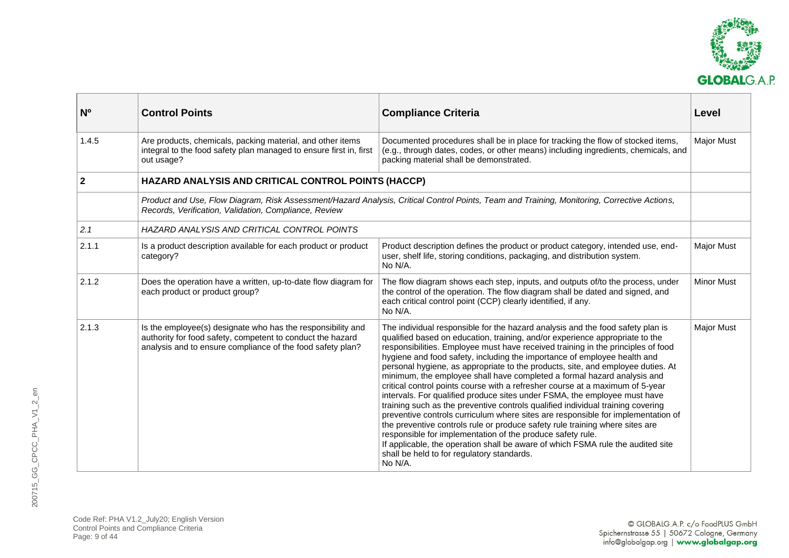

<span id="page-8-0"></span>

| N <sup>o</sup> | <b>Control Points</b>                                                                                                                                                                   | <b>Compliance Criteria</b>                                                                                                                                                                                                                                                                                                                                                                                                                                                                                                                                                                                                                                                                                                                                                                                                                                                                                                                                                                                                                                                                                                  | Level             |
|----------------|-----------------------------------------------------------------------------------------------------------------------------------------------------------------------------------------|-----------------------------------------------------------------------------------------------------------------------------------------------------------------------------------------------------------------------------------------------------------------------------------------------------------------------------------------------------------------------------------------------------------------------------------------------------------------------------------------------------------------------------------------------------------------------------------------------------------------------------------------------------------------------------------------------------------------------------------------------------------------------------------------------------------------------------------------------------------------------------------------------------------------------------------------------------------------------------------------------------------------------------------------------------------------------------------------------------------------------------|-------------------|
| 1.4.5          | Are products, chemicals, packing material, and other items<br>integral to the food safety plan managed to ensure first in, first<br>out usage?                                          | Documented procedures shall be in place for tracking the flow of stocked items,<br>(e.g., through dates, codes, or other means) including ingredients, chemicals, and<br>packing material shall be demonstrated.                                                                                                                                                                                                                                                                                                                                                                                                                                                                                                                                                                                                                                                                                                                                                                                                                                                                                                            | <b>Major Must</b> |
| $\overline{2}$ | HAZARD ANALYSIS AND CRITICAL CONTROL POINTS (HACCP)                                                                                                                                     |                                                                                                                                                                                                                                                                                                                                                                                                                                                                                                                                                                                                                                                                                                                                                                                                                                                                                                                                                                                                                                                                                                                             |                   |
|                | Records, Verification, Validation, Compliance, Review                                                                                                                                   | Product and Use, Flow Diagram, Risk Assessment/Hazard Analysis, Critical Control Points, Team and Training, Monitoring, Corrective Actions,                                                                                                                                                                                                                                                                                                                                                                                                                                                                                                                                                                                                                                                                                                                                                                                                                                                                                                                                                                                 |                   |
| 2.1            | HAZARD ANALYSIS AND CRITICAL CONTROL POINTS                                                                                                                                             |                                                                                                                                                                                                                                                                                                                                                                                                                                                                                                                                                                                                                                                                                                                                                                                                                                                                                                                                                                                                                                                                                                                             |                   |
| 2.1.1          | Is a product description available for each product or product<br>category?                                                                                                             | Product description defines the product or product category, intended use, end-<br>user, shelf life, storing conditions, packaging, and distribution system.<br>No N/A.                                                                                                                                                                                                                                                                                                                                                                                                                                                                                                                                                                                                                                                                                                                                                                                                                                                                                                                                                     | <b>Major Must</b> |
| 2.1.2          | Does the operation have a written, up-to-date flow diagram for<br>each product or product group?                                                                                        | The flow diagram shows each step, inputs, and outputs of/to the process, under<br>the control of the operation. The flow diagram shall be dated and signed, and<br>each critical control point (CCP) clearly identified, if any.<br>No N/A.                                                                                                                                                                                                                                                                                                                                                                                                                                                                                                                                                                                                                                                                                                                                                                                                                                                                                 | <b>Minor Must</b> |
| 2.1.3          | Is the employee(s) designate who has the responsibility and<br>authority for food safety, competent to conduct the hazard<br>analysis and to ensure compliance of the food safety plan? | The individual responsible for the hazard analysis and the food safety plan is<br>qualified based on education, training, and/or experience appropriate to the<br>responsibilities. Employee must have received training in the principles of food<br>hygiene and food safety, including the importance of employee health and<br>personal hygiene, as appropriate to the products, site, and employee duties. At<br>minimum, the employee shall have completed a formal hazard analysis and<br>critical control points course with a refresher course at a maximum of 5-year<br>intervals. For qualified produce sites under FSMA, the employee must have<br>training such as the preventive controls qualified individual training covering<br>preventive controls curriculum where sites are responsible for implementation of<br>the preventive controls rule or produce safety rule training where sites are<br>responsible for implementation of the produce safety rule.<br>If applicable, the operation shall be aware of which FSMA rule the audited site<br>shall be held to for regulatory standards.<br>No N/A. | <b>Major Must</b> |

Code Ref: PHA V1.2\_July20; English Version Control Points and Compliance Criteria Page: 9 of 44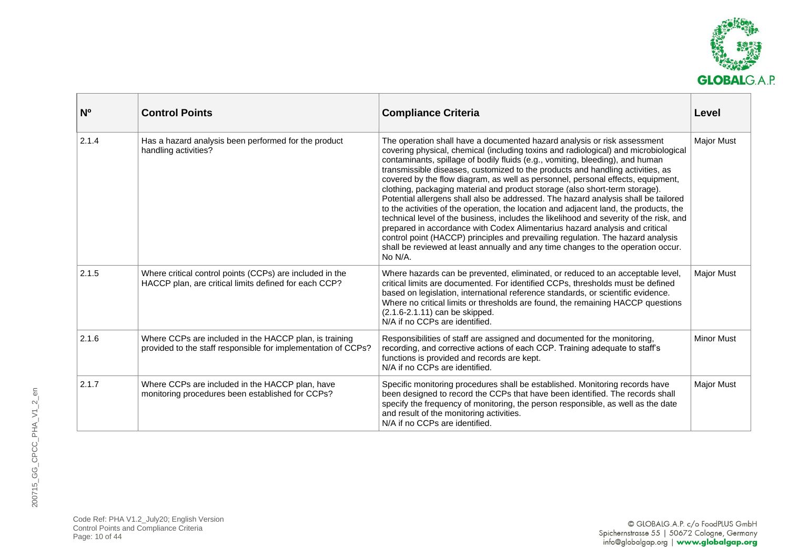

| N <sub>o</sub> | <b>Control Points</b>                                                                                                   | <b>Compliance Criteria</b>                                                                                                                                                                                                                                                                                                                                                                                                                                                                                                                                                                                                                                                                                                                                                                                                                                                                                                                                                                                                                     | Level             |
|----------------|-------------------------------------------------------------------------------------------------------------------------|------------------------------------------------------------------------------------------------------------------------------------------------------------------------------------------------------------------------------------------------------------------------------------------------------------------------------------------------------------------------------------------------------------------------------------------------------------------------------------------------------------------------------------------------------------------------------------------------------------------------------------------------------------------------------------------------------------------------------------------------------------------------------------------------------------------------------------------------------------------------------------------------------------------------------------------------------------------------------------------------------------------------------------------------|-------------------|
| 2.1.4          | Has a hazard analysis been performed for the product<br>handling activities?                                            | The operation shall have a documented hazard analysis or risk assessment<br>covering physical, chemical (including toxins and radiological) and microbiological<br>contaminants, spillage of bodily fluids (e.g., vomiting, bleeding), and human<br>transmissible diseases, customized to the products and handling activities, as<br>covered by the flow diagram, as well as personnel, personal effects, equipment,<br>clothing, packaging material and product storage (also short-term storage).<br>Potential allergens shall also be addressed. The hazard analysis shall be tailored<br>to the activities of the operation, the location and adjacent land, the products, the<br>technical level of the business, includes the likelihood and severity of the risk, and<br>prepared in accordance with Codex Alimentarius hazard analysis and critical<br>control point (HACCP) principles and prevailing regulation. The hazard analysis<br>shall be reviewed at least annually and any time changes to the operation occur.<br>No N/A. | <b>Major Must</b> |
| 2.1.5          | Where critical control points (CCPs) are included in the<br>HACCP plan, are critical limits defined for each CCP?       | Where hazards can be prevented, eliminated, or reduced to an acceptable level,<br>critical limits are documented. For identified CCPs, thresholds must be defined<br>based on legislation, international reference standards, or scientific evidence.<br>Where no critical limits or thresholds are found, the remaining HACCP questions<br>(2.1.6-2.1.11) can be skipped.<br>N/A if no CCPs are identified.                                                                                                                                                                                                                                                                                                                                                                                                                                                                                                                                                                                                                                   | <b>Major Must</b> |
| 2.1.6          | Where CCPs are included in the HACCP plan, is training<br>provided to the staff responsible for implementation of CCPs? | Responsibilities of staff are assigned and documented for the monitoring,<br>recording, and corrective actions of each CCP. Training adequate to staff's<br>functions is provided and records are kept.<br>N/A if no CCPs are identified.                                                                                                                                                                                                                                                                                                                                                                                                                                                                                                                                                                                                                                                                                                                                                                                                      | <b>Minor Must</b> |
| 2.1.7          | Where CCPs are included in the HACCP plan, have<br>monitoring procedures been established for CCPs?                     | Specific monitoring procedures shall be established. Monitoring records have<br>been designed to record the CCPs that have been identified. The records shall<br>specify the frequency of monitoring, the person responsible, as well as the date<br>and result of the monitoring activities.<br>N/A if no CCPs are identified.                                                                                                                                                                                                                                                                                                                                                                                                                                                                                                                                                                                                                                                                                                                | <b>Major Must</b> |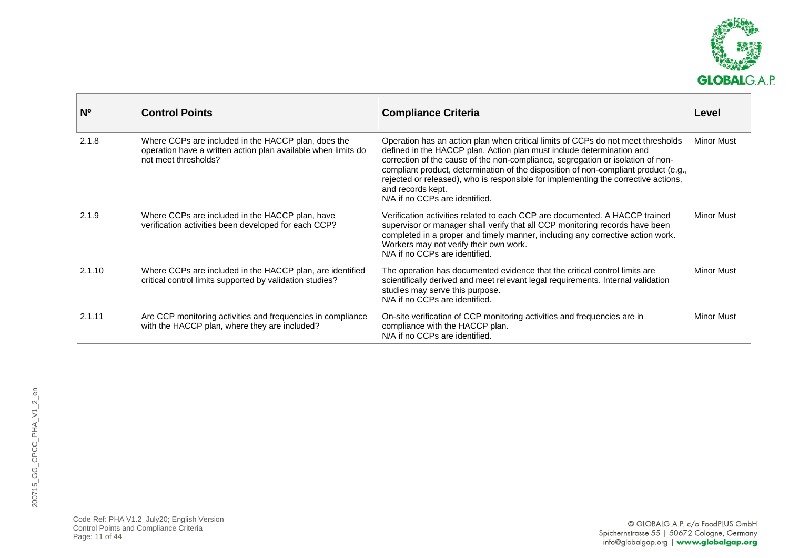

| <b>N°</b> | <b>Control Points</b>                                                                                                                        | <b>Compliance Criteria</b>                                                                                                                                                                                                                                                                                                                                                                                                                                                       | Level             |
|-----------|----------------------------------------------------------------------------------------------------------------------------------------------|----------------------------------------------------------------------------------------------------------------------------------------------------------------------------------------------------------------------------------------------------------------------------------------------------------------------------------------------------------------------------------------------------------------------------------------------------------------------------------|-------------------|
| 2.1.8     | Where CCPs are included in the HACCP plan, does the<br>operation have a written action plan available when limits do<br>not meet thresholds? | Operation has an action plan when critical limits of CCPs do not meet thresholds<br>defined in the HACCP plan. Action plan must include determination and<br>correction of the cause of the non-compliance, segregation or isolation of non-<br>compliant product, determination of the disposition of non-compliant product (e.g.,<br>rejected or released), who is responsible for implementing the corrective actions,<br>and records kept.<br>N/A if no CCPs are identified. | <b>Minor Must</b> |
| 2.1.9     | Where CCPs are included in the HACCP plan, have<br>verification activities been developed for each CCP?                                      | Verification activities related to each CCP are documented. A HACCP trained<br>supervisor or manager shall verify that all CCP monitoring records have been<br>completed in a proper and timely manner, including any corrective action work.<br>Workers may not verify their own work.<br>N/A if no CCPs are identified.                                                                                                                                                        | <b>Minor Must</b> |
| 2.1.10    | Where CCPs are included in the HACCP plan, are identified<br>critical control limits supported by validation studies?                        | The operation has documented evidence that the critical control limits are<br>scientifically derived and meet relevant legal requirements. Internal validation<br>studies may serve this purpose.<br>N/A if no CCPs are identified.                                                                                                                                                                                                                                              | <b>Minor Must</b> |
| 2.1.11    | Are CCP monitoring activities and frequencies in compliance<br>with the HACCP plan, where they are included?                                 | On-site verification of CCP monitoring activities and frequencies are in<br>compliance with the HACCP plan.<br>N/A if no CCPs are identified.                                                                                                                                                                                                                                                                                                                                    | <b>Minor Must</b> |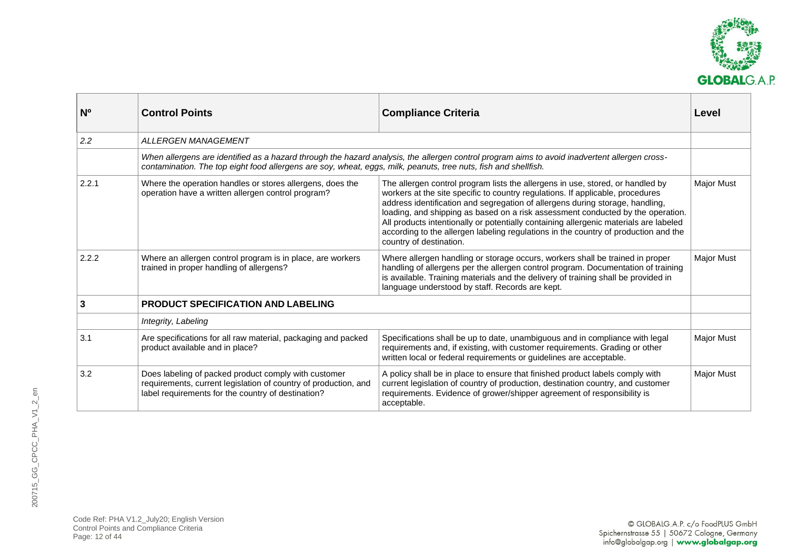

<span id="page-11-0"></span>

| N <sub>0</sub> | <b>Control Points</b>                                                                                                                                                         | <b>Compliance Criteria</b>                                                                                                                                                                                                                                                                                                                                                                                                                                                                                                                      | Level             |
|----------------|-------------------------------------------------------------------------------------------------------------------------------------------------------------------------------|-------------------------------------------------------------------------------------------------------------------------------------------------------------------------------------------------------------------------------------------------------------------------------------------------------------------------------------------------------------------------------------------------------------------------------------------------------------------------------------------------------------------------------------------------|-------------------|
| 2.2            | <b>ALLERGEN MANAGEMENT</b>                                                                                                                                                    |                                                                                                                                                                                                                                                                                                                                                                                                                                                                                                                                                 |                   |
|                | contamination. The top eight food allergens are soy, wheat, eggs, milk, peanuts, tree nuts, fish and shellfish.                                                               | When allergens are identified as a hazard through the hazard analysis, the allergen control program aims to avoid inadvertent allergen cross-                                                                                                                                                                                                                                                                                                                                                                                                   |                   |
| 2.2.1          | Where the operation handles or stores allergens, does the<br>operation have a written allergen control program?                                                               | The allergen control program lists the allergens in use, stored, or handled by<br>workers at the site specific to country regulations. If applicable, procedures<br>address identification and segregation of allergens during storage, handling,<br>loading, and shipping as based on a risk assessment conducted by the operation.<br>All products intentionally or potentially containing allergenic materials are labeled<br>according to the allergen labeling regulations in the country of production and the<br>country of destination. | <b>Major Must</b> |
| 2.2.2          | Where an allergen control program is in place, are workers<br>trained in proper handling of allergens?                                                                        | Where allergen handling or storage occurs, workers shall be trained in proper<br>handling of allergens per the allergen control program. Documentation of training<br>is available. Training materials and the delivery of training shall be provided in<br>language understood by staff. Records are kept.                                                                                                                                                                                                                                     | <b>Major Must</b> |
| 3              | <b>PRODUCT SPECIFICATION AND LABELING</b>                                                                                                                                     |                                                                                                                                                                                                                                                                                                                                                                                                                                                                                                                                                 |                   |
|                | Integrity, Labeling                                                                                                                                                           |                                                                                                                                                                                                                                                                                                                                                                                                                                                                                                                                                 |                   |
| 3.1            | Are specifications for all raw material, packaging and packed<br>product available and in place?                                                                              | Specifications shall be up to date, unambiguous and in compliance with legal<br>requirements and, if existing, with customer requirements. Grading or other<br>written local or federal requirements or guidelines are acceptable.                                                                                                                                                                                                                                                                                                              | <b>Major Must</b> |
| 3.2            | Does labeling of packed product comply with customer<br>requirements, current legislation of country of production, and<br>label requirements for the country of destination? | A policy shall be in place to ensure that finished product labels comply with<br>current legislation of country of production, destination country, and customer<br>requirements. Evidence of grower/shipper agreement of responsibility is<br>acceptable.                                                                                                                                                                                                                                                                                      | <b>Major Must</b> |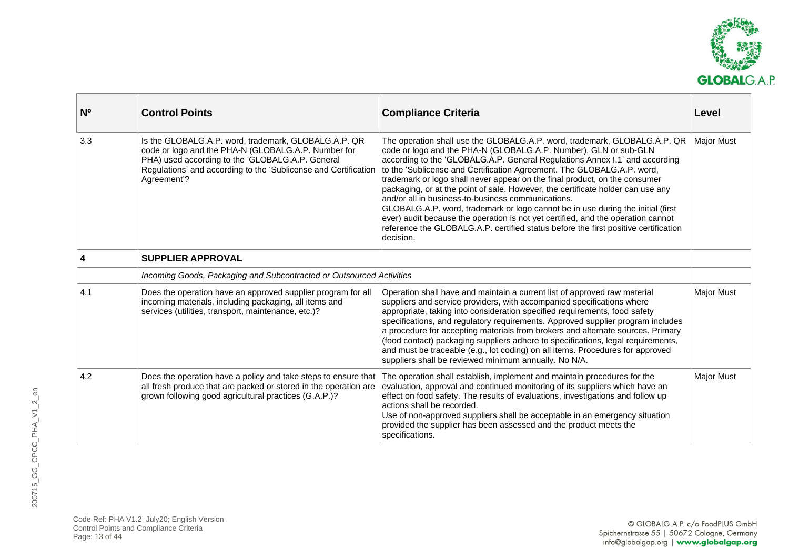

<span id="page-12-0"></span>

| N <sub>o</sub>   | <b>Control Points</b>                                                                                                                                                                                                                             | <b>Compliance Criteria</b>                                                                                                                                                                                                                                                                                                                                                                                                                                                                                                                                                                                                                                                                                                                                                                               | Level             |
|------------------|---------------------------------------------------------------------------------------------------------------------------------------------------------------------------------------------------------------------------------------------------|----------------------------------------------------------------------------------------------------------------------------------------------------------------------------------------------------------------------------------------------------------------------------------------------------------------------------------------------------------------------------------------------------------------------------------------------------------------------------------------------------------------------------------------------------------------------------------------------------------------------------------------------------------------------------------------------------------------------------------------------------------------------------------------------------------|-------------------|
| 3.3              | Is the GLOBALG.A.P. word, trademark, GLOBALG.A.P. QR<br>code or logo and the PHA-N (GLOBALG.A.P. Number for<br>PHA) used according to the 'GLOBALG.A.P. General<br>Regulations' and according to the 'Sublicense and Certification<br>Agreement'? | The operation shall use the GLOBALG.A.P. word, trademark, GLOBALG.A.P. QR<br>code or logo and the PHA-N (GLOBALG.A.P. Number), GLN or sub-GLN<br>according to the 'GLOBALG.A.P. General Regulations Annex I.1' and according<br>to the 'Sublicense and Certification Agreement. The GLOBALG.A.P. word,<br>trademark or logo shall never appear on the final product, on the consumer<br>packaging, or at the point of sale. However, the certificate holder can use any<br>and/or all in business-to-business communications.<br>GLOBALG.A.P. word, trademark or logo cannot be in use during the initial (first<br>ever) audit because the operation is not yet certified, and the operation cannot<br>reference the GLOBALG.A.P. certified status before the first positive certification<br>decision. | <b>Major Must</b> |
| $\boldsymbol{4}$ | <b>SUPPLIER APPROVAL</b>                                                                                                                                                                                                                          |                                                                                                                                                                                                                                                                                                                                                                                                                                                                                                                                                                                                                                                                                                                                                                                                          |                   |
|                  | Incoming Goods, Packaging and Subcontracted or Outsourced Activities                                                                                                                                                                              |                                                                                                                                                                                                                                                                                                                                                                                                                                                                                                                                                                                                                                                                                                                                                                                                          |                   |
| 4.1              | Does the operation have an approved supplier program for all<br>incoming materials, including packaging, all items and<br>services (utilities, transport, maintenance, etc.)?                                                                     | Operation shall have and maintain a current list of approved raw material<br>suppliers and service providers, with accompanied specifications where<br>appropriate, taking into consideration specified requirements, food safety<br>specifications, and regulatory requirements. Approved supplier program includes<br>a procedure for accepting materials from brokers and alternate sources. Primary<br>(food contact) packaging suppliers adhere to specifications, legal requirements,<br>and must be traceable (e.g., lot coding) on all items. Procedures for approved<br>suppliers shall be reviewed minimum annually. No N/A.                                                                                                                                                                   | <b>Major Must</b> |
| 4.2              | Does the operation have a policy and take steps to ensure that<br>all fresh produce that are packed or stored in the operation are<br>grown following good agricultural practices (G.A.P.)?                                                       | The operation shall establish, implement and maintain procedures for the<br>evaluation, approval and continued monitoring of its suppliers which have an<br>effect on food safety. The results of evaluations, investigations and follow up<br>actions shall be recorded.<br>Use of non-approved suppliers shall be acceptable in an emergency situation<br>provided the supplier has been assessed and the product meets the<br>specifications.                                                                                                                                                                                                                                                                                                                                                         | <b>Major Must</b> |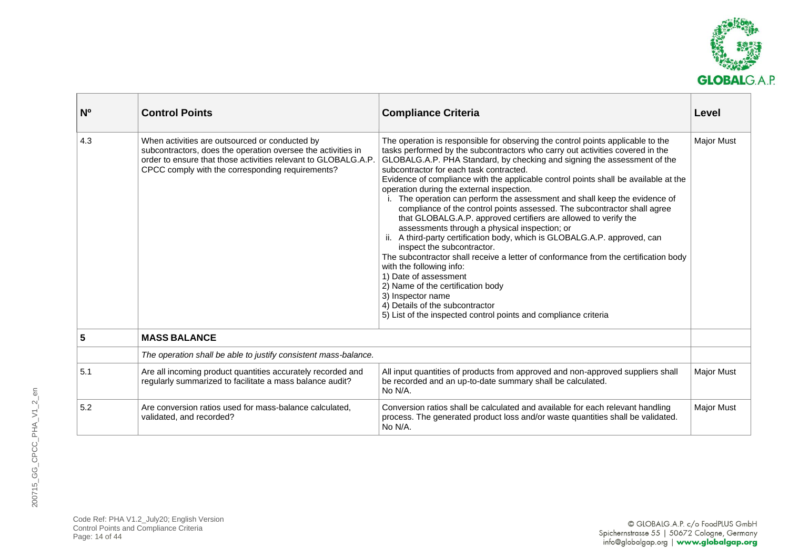

<span id="page-13-0"></span>

| N <sup>o</sup> | <b>Control Points</b>                                                                                                                                                                                                                | <b>Compliance Criteria</b>                                                                                                                                                                                                                                                                                                                                                                                                                                                                                                                                                                                                                                                                                                                                                                                                                                                                                                                                                                                                                                                                                                | Level             |
|----------------|--------------------------------------------------------------------------------------------------------------------------------------------------------------------------------------------------------------------------------------|---------------------------------------------------------------------------------------------------------------------------------------------------------------------------------------------------------------------------------------------------------------------------------------------------------------------------------------------------------------------------------------------------------------------------------------------------------------------------------------------------------------------------------------------------------------------------------------------------------------------------------------------------------------------------------------------------------------------------------------------------------------------------------------------------------------------------------------------------------------------------------------------------------------------------------------------------------------------------------------------------------------------------------------------------------------------------------------------------------------------------|-------------------|
| 4.3            | When activities are outsourced or conducted by<br>subcontractors, does the operation oversee the activities in<br>order to ensure that those activities relevant to GLOBALG.A.P.<br>CPCC comply with the corresponding requirements? | The operation is responsible for observing the control points applicable to the<br>tasks performed by the subcontractors who carry out activities covered in the<br>GLOBALG.A.P. PHA Standard, by checking and signing the assessment of the<br>subcontractor for each task contracted.<br>Evidence of compliance with the applicable control points shall be available at the<br>operation during the external inspection.<br>The operation can perform the assessment and shall keep the evidence of<br>compliance of the control points assessed. The subcontractor shall agree<br>that GLOBALG.A.P. approved certifiers are allowed to verify the<br>assessments through a physical inspection; or<br>A third-party certification body, which is GLOBALG.A.P. approved, can<br>inspect the subcontractor.<br>The subcontractor shall receive a letter of conformance from the certification body<br>with the following info:<br>1) Date of assessment<br>2) Name of the certification body<br>3) Inspector name<br>4) Details of the subcontractor<br>5) List of the inspected control points and compliance criteria | <b>Major Must</b> |
| 5              | <b>MASS BALANCE</b>                                                                                                                                                                                                                  |                                                                                                                                                                                                                                                                                                                                                                                                                                                                                                                                                                                                                                                                                                                                                                                                                                                                                                                                                                                                                                                                                                                           |                   |
|                | The operation shall be able to justify consistent mass-balance.                                                                                                                                                                      |                                                                                                                                                                                                                                                                                                                                                                                                                                                                                                                                                                                                                                                                                                                                                                                                                                                                                                                                                                                                                                                                                                                           |                   |
| 5.1            | Are all incoming product quantities accurately recorded and<br>regularly summarized to facilitate a mass balance audit?                                                                                                              | All input quantities of products from approved and non-approved suppliers shall<br>be recorded and an up-to-date summary shall be calculated.<br>No N/A.                                                                                                                                                                                                                                                                                                                                                                                                                                                                                                                                                                                                                                                                                                                                                                                                                                                                                                                                                                  | <b>Major Must</b> |
| 5.2            | Are conversion ratios used for mass-balance calculated,<br>validated, and recorded?                                                                                                                                                  | Conversion ratios shall be calculated and available for each relevant handling<br>process. The generated product loss and/or waste quantities shall be validated.<br>No N/A.                                                                                                                                                                                                                                                                                                                                                                                                                                                                                                                                                                                                                                                                                                                                                                                                                                                                                                                                              | Major Must        |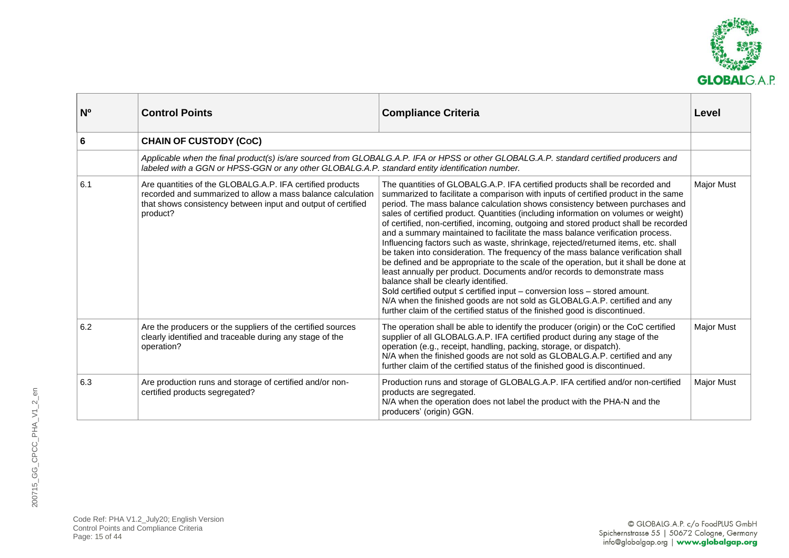

<span id="page-14-0"></span>

| N <sup>o</sup> | <b>Control Points</b>                                                                                                                                                                                | <b>Compliance Criteria</b>                                                                                                                                                                                                                                                                                                                                                                                                                                                                                                                                                                                                                                                                                                                                                                                                                                                                                                                                                                                                                                                                                                                              | Level             |
|----------------|------------------------------------------------------------------------------------------------------------------------------------------------------------------------------------------------------|---------------------------------------------------------------------------------------------------------------------------------------------------------------------------------------------------------------------------------------------------------------------------------------------------------------------------------------------------------------------------------------------------------------------------------------------------------------------------------------------------------------------------------------------------------------------------------------------------------------------------------------------------------------------------------------------------------------------------------------------------------------------------------------------------------------------------------------------------------------------------------------------------------------------------------------------------------------------------------------------------------------------------------------------------------------------------------------------------------------------------------------------------------|-------------------|
| 6              | <b>CHAIN OF CUSTODY (CoC)</b>                                                                                                                                                                        |                                                                                                                                                                                                                                                                                                                                                                                                                                                                                                                                                                                                                                                                                                                                                                                                                                                                                                                                                                                                                                                                                                                                                         |                   |
|                | labeled with a GGN or HPSS-GGN or any other GLOBALG.A.P. standard entity identification number.                                                                                                      | Applicable when the final product(s) is/are sourced from GLOBALG.A.P. IFA or HPSS or other GLOBALG.A.P. standard certified producers and                                                                                                                                                                                                                                                                                                                                                                                                                                                                                                                                                                                                                                                                                                                                                                                                                                                                                                                                                                                                                |                   |
| 6.1            | Are quantities of the GLOBALG.A.P. IFA certified products<br>recorded and summarized to allow a mass balance calculation<br>that shows consistency between input and output of certified<br>product? | The quantities of GLOBALG.A.P. IFA certified products shall be recorded and<br>summarized to facilitate a comparison with inputs of certified product in the same<br>period. The mass balance calculation shows consistency between purchases and<br>sales of certified product. Quantities (including information on volumes or weight)<br>of certified, non-certified, incoming, outgoing and stored product shall be recorded<br>and a summary maintained to facilitate the mass balance verification process.<br>Influencing factors such as waste, shrinkage, rejected/returned items, etc. shall<br>be taken into consideration. The frequency of the mass balance verification shall<br>be defined and be appropriate to the scale of the operation, but it shall be done at<br>least annually per product. Documents and/or records to demonstrate mass<br>balance shall be clearly identified.<br>Sold certified output $\leq$ certified input – conversion loss – stored amount.<br>N/A when the finished goods are not sold as GLOBALG.A.P. certified and any<br>further claim of the certified status of the finished good is discontinued. | <b>Major Must</b> |
| 6.2            | Are the producers or the suppliers of the certified sources<br>clearly identified and traceable during any stage of the<br>operation?                                                                | The operation shall be able to identify the producer (origin) or the CoC certified<br>supplier of all GLOBALG.A.P. IFA certified product during any stage of the<br>operation (e.g., receipt, handling, packing, storage, or dispatch).<br>N/A when the finished goods are not sold as GLOBALG.A.P. certified and any<br>further claim of the certified status of the finished good is discontinued.                                                                                                                                                                                                                                                                                                                                                                                                                                                                                                                                                                                                                                                                                                                                                    | <b>Major Must</b> |
| 6.3            | Are production runs and storage of certified and/or non-<br>certified products segregated?                                                                                                           | Production runs and storage of GLOBALG.A.P. IFA certified and/or non-certified<br>products are segregated.<br>N/A when the operation does not label the product with the PHA-N and the<br>producers' (origin) GGN.                                                                                                                                                                                                                                                                                                                                                                                                                                                                                                                                                                                                                                                                                                                                                                                                                                                                                                                                      | <b>Major Must</b> |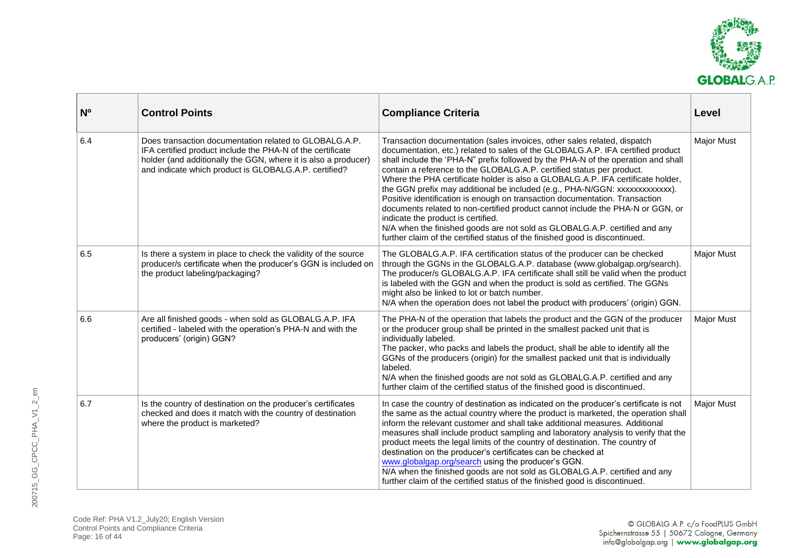

| N <sub>o</sub> | <b>Control Points</b>                                                                                                                                                                                                                           | <b>Compliance Criteria</b>                                                                                                                                                                                                                                                                                                                                                                                                                                                                                                                                                                                                                                                                                                                                                                                                                                      | Level             |
|----------------|-------------------------------------------------------------------------------------------------------------------------------------------------------------------------------------------------------------------------------------------------|-----------------------------------------------------------------------------------------------------------------------------------------------------------------------------------------------------------------------------------------------------------------------------------------------------------------------------------------------------------------------------------------------------------------------------------------------------------------------------------------------------------------------------------------------------------------------------------------------------------------------------------------------------------------------------------------------------------------------------------------------------------------------------------------------------------------------------------------------------------------|-------------------|
| 6.4            | Does transaction documentation related to GLOBALG.A.P.<br>IFA certified product include the PHA-N of the certificate<br>holder (and additionally the GGN, where it is also a producer)<br>and indicate which product is GLOBALG.A.P. certified? | Transaction documentation (sales invoices, other sales related, dispatch<br>documentation, etc.) related to sales of the GLOBALG.A.P. IFA certified product<br>shall include the 'PHA-N" prefix followed by the PHA-N of the operation and shall<br>contain a reference to the GLOBALG.A.P. certified status per product.<br>Where the PHA certificate holder is also a GLOBALG.A.P. IFA certificate holder,<br>the GGN prefix may additional be included (e.g., PHA-N/GGN: xxxxxxxxxxxxx).<br>Positive identification is enough on transaction documentation. Transaction<br>documents related to non-certified product cannot include the PHA-N or GGN, or<br>indicate the product is certified.<br>N/A when the finished goods are not sold as GLOBALG.A.P. certified and any<br>further claim of the certified status of the finished good is discontinued. | <b>Major Must</b> |
| 6.5            | Is there a system in place to check the validity of the source<br>producer/s certificate when the producer's GGN is included on<br>the product labeling/packaging?                                                                              | The GLOBALG.A.P. IFA certification status of the producer can be checked<br>through the GGNs in the GLOBALG.A.P. database (www.globalgap.org/search).<br>The producer/s GLOBALG.A.P. IFA certificate shall still be valid when the product<br>is labeled with the GGN and when the product is sold as certified. The GGNs<br>might also be linked to lot or batch number.<br>N/A when the operation does not label the product with producers' (origin) GGN.                                                                                                                                                                                                                                                                                                                                                                                                    | <b>Major Must</b> |
| 6.6            | Are all finished goods - when sold as GLOBALG.A.P. IFA<br>certified - labeled with the operation's PHA-N and with the<br>producers' (origin) GGN?                                                                                               | The PHA-N of the operation that labels the product and the GGN of the producer<br>or the producer group shall be printed in the smallest packed unit that is<br>individually labeled.<br>The packer, who packs and labels the product, shall be able to identify all the<br>GGNs of the producers (origin) for the smallest packed unit that is individually<br>labeled.<br>N/A when the finished goods are not sold as GLOBALG.A.P. certified and any<br>further claim of the certified status of the finished good is discontinued.                                                                                                                                                                                                                                                                                                                           | <b>Major Must</b> |
| 6.7            | Is the country of destination on the producer's certificates<br>checked and does it match with the country of destination<br>where the product is marketed?                                                                                     | In case the country of destination as indicated on the producer's certificate is not<br>the same as the actual country where the product is marketed, the operation shall<br>inform the relevant customer and shall take additional measures. Additional<br>measures shall include product sampling and laboratory analysis to verify that the<br>product meets the legal limits of the country of destination. The country of<br>destination on the producer's certificates can be checked at<br>www.globalgap.org/search using the producer's GGN.<br>N/A when the finished goods are not sold as GLOBALG.A.P. certified and any<br>further claim of the certified status of the finished good is discontinued.                                                                                                                                               | <b>Major Must</b> |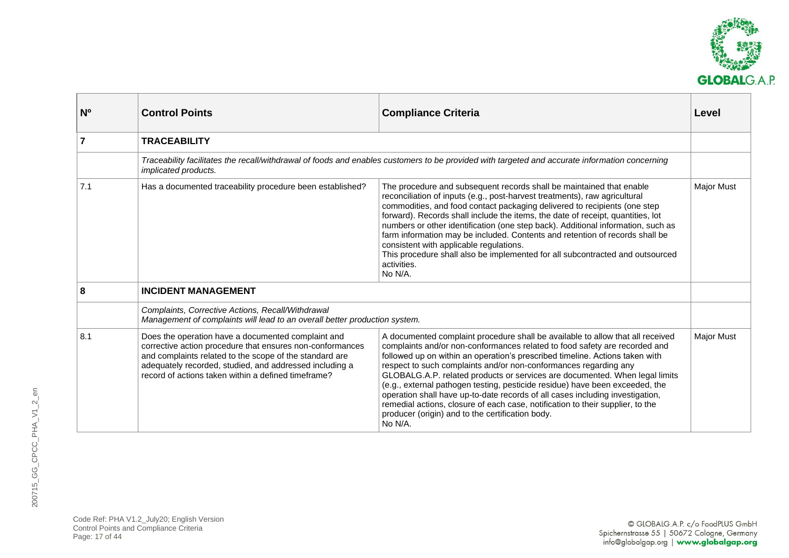

<span id="page-16-1"></span><span id="page-16-0"></span>

| N <sub>o</sub> | <b>Control Points</b>                                                                                                                                                                                                                                                                        | <b>Compliance Criteria</b>                                                                                                                                                                                                                                                                                                                                                                                                                                                                                                                                                                                                                                                                                        | Level             |
|----------------|----------------------------------------------------------------------------------------------------------------------------------------------------------------------------------------------------------------------------------------------------------------------------------------------|-------------------------------------------------------------------------------------------------------------------------------------------------------------------------------------------------------------------------------------------------------------------------------------------------------------------------------------------------------------------------------------------------------------------------------------------------------------------------------------------------------------------------------------------------------------------------------------------------------------------------------------------------------------------------------------------------------------------|-------------------|
| $\overline{7}$ | <b>TRACEABILITY</b>                                                                                                                                                                                                                                                                          |                                                                                                                                                                                                                                                                                                                                                                                                                                                                                                                                                                                                                                                                                                                   |                   |
|                | implicated products.                                                                                                                                                                                                                                                                         | Traceability facilitates the recall/withdrawal of foods and enables customers to be provided with targeted and accurate information concerning                                                                                                                                                                                                                                                                                                                                                                                                                                                                                                                                                                    |                   |
| 7.1            | Has a documented traceability procedure been established?                                                                                                                                                                                                                                    | The procedure and subsequent records shall be maintained that enable<br>reconciliation of inputs (e.g., post-harvest treatments), raw agricultural<br>commodities, and food contact packaging delivered to recipients (one step<br>forward). Records shall include the items, the date of receipt, quantities, lot<br>numbers or other identification (one step back). Additional information, such as<br>farm information may be included. Contents and retention of records shall be<br>consistent with applicable regulations.<br>This procedure shall also be implemented for all subcontracted and outsourced<br>activities.<br>No N/A.                                                                      | <b>Major Must</b> |
| 8              | <b>INCIDENT MANAGEMENT</b>                                                                                                                                                                                                                                                                   |                                                                                                                                                                                                                                                                                                                                                                                                                                                                                                                                                                                                                                                                                                                   |                   |
|                | Complaints, Corrective Actions, Recall/Withdrawal<br>Management of complaints will lead to an overall better production system.                                                                                                                                                              |                                                                                                                                                                                                                                                                                                                                                                                                                                                                                                                                                                                                                                                                                                                   |                   |
| 8.1            | Does the operation have a documented complaint and<br>corrective action procedure that ensures non-conformances<br>and complaints related to the scope of the standard are<br>adequately recorded, studied, and addressed including a<br>record of actions taken within a defined timeframe? | A documented complaint procedure shall be available to allow that all received<br>complaints and/or non-conformances related to food safety are recorded and<br>followed up on within an operation's prescribed timeline. Actions taken with<br>respect to such complaints and/or non-conformances regarding any<br>GLOBALG.A.P. related products or services are documented. When legal limits<br>(e.g., external pathogen testing, pesticide residue) have been exceeded, the<br>operation shall have up-to-date records of all cases including investigation,<br>remedial actions, closure of each case, notification to their supplier, to the<br>producer (origin) and to the certification body.<br>No N/A. | <b>Major Must</b> |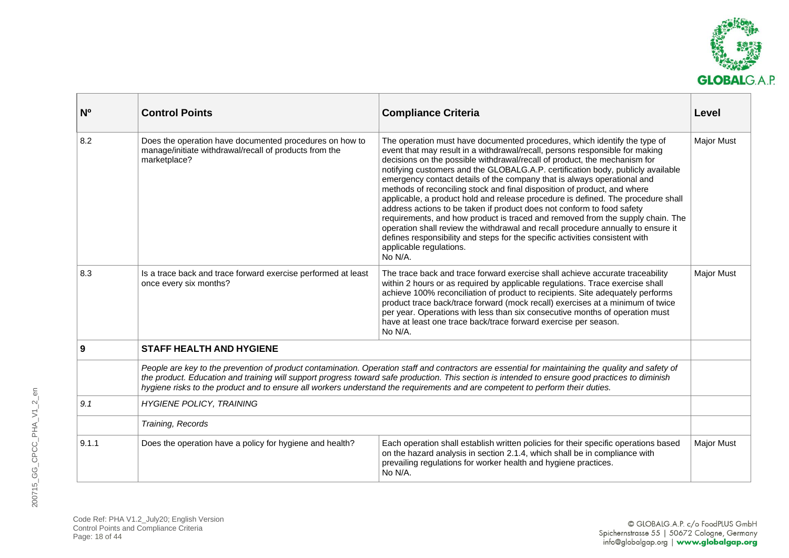

<span id="page-17-0"></span>

| $N^{\circ}$ | <b>Control Points</b>                                                                                                             | <b>Compliance Criteria</b>                                                                                                                                                                                                                                                                                                                                                                                                                                                                                                                                                                                                                                                                                                                                                                                                                                                                                                                 | Level             |
|-------------|-----------------------------------------------------------------------------------------------------------------------------------|--------------------------------------------------------------------------------------------------------------------------------------------------------------------------------------------------------------------------------------------------------------------------------------------------------------------------------------------------------------------------------------------------------------------------------------------------------------------------------------------------------------------------------------------------------------------------------------------------------------------------------------------------------------------------------------------------------------------------------------------------------------------------------------------------------------------------------------------------------------------------------------------------------------------------------------------|-------------------|
| 8.2         | Does the operation have documented procedures on how to<br>manage/initiate withdrawal/recall of products from the<br>marketplace? | The operation must have documented procedures, which identify the type of<br>event that may result in a withdrawal/recall, persons responsible for making<br>decisions on the possible withdrawal/recall of product, the mechanism for<br>notifying customers and the GLOBALG.A.P. certification body, publicly available<br>emergency contact details of the company that is always operational and<br>methods of reconciling stock and final disposition of product, and where<br>applicable, a product hold and release procedure is defined. The procedure shall<br>address actions to be taken if product does not conform to food safety<br>requirements, and how product is traced and removed from the supply chain. The<br>operation shall review the withdrawal and recall procedure annually to ensure it<br>defines responsibility and steps for the specific activities consistent with<br>applicable regulations.<br>No N/A. | Major Must        |
| 8.3         | Is a trace back and trace forward exercise performed at least<br>once every six months?                                           | The trace back and trace forward exercise shall achieve accurate traceability<br>within 2 hours or as required by applicable regulations. Trace exercise shall<br>achieve 100% reconciliation of product to recipients. Site adequately performs<br>product trace back/trace forward (mock recall) exercises at a minimum of twice<br>per year. Operations with less than six consecutive months of operation must<br>have at least one trace back/trace forward exercise per season.<br>No N/A.                                                                                                                                                                                                                                                                                                                                                                                                                                           | <b>Major Must</b> |
| 9           | <b>STAFF HEALTH AND HYGIENE</b>                                                                                                   |                                                                                                                                                                                                                                                                                                                                                                                                                                                                                                                                                                                                                                                                                                                                                                                                                                                                                                                                            |                   |
|             | hygiene risks to the product and to ensure all workers understand the requirements and are competent to perform their duties.     | People are key to the prevention of product contamination. Operation staff and contractors are essential for maintaining the quality and safety of<br>the product. Education and training will support progress toward safe production. This section is intended to ensure good practices to diminish                                                                                                                                                                                                                                                                                                                                                                                                                                                                                                                                                                                                                                      |                   |
| 9.1         | <b>HYGIENE POLICY, TRAINING</b>                                                                                                   |                                                                                                                                                                                                                                                                                                                                                                                                                                                                                                                                                                                                                                                                                                                                                                                                                                                                                                                                            |                   |
|             | Training, Records                                                                                                                 |                                                                                                                                                                                                                                                                                                                                                                                                                                                                                                                                                                                                                                                                                                                                                                                                                                                                                                                                            |                   |
| 9.1.1       | Does the operation have a policy for hygiene and health?                                                                          | Each operation shall establish written policies for their specific operations based<br>on the hazard analysis in section 2.1.4, which shall be in compliance with<br>prevailing regulations for worker health and hygiene practices.<br>No N/A.                                                                                                                                                                                                                                                                                                                                                                                                                                                                                                                                                                                                                                                                                            | <b>Major Must</b> |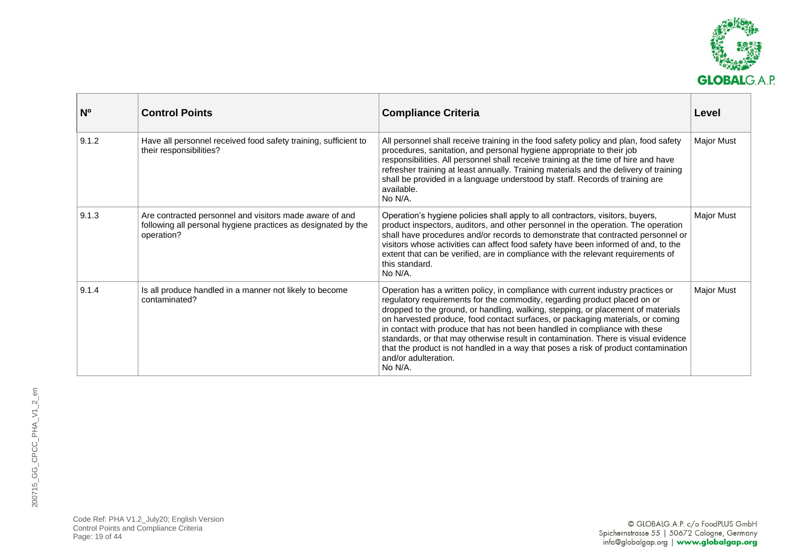

| N <sub>0</sub> | <b>Control Points</b>                                                                                                                  | <b>Compliance Criteria</b>                                                                                                                                                                                                                                                                                                                                                                                                                                                                                                                                                                                                        | Level             |
|----------------|----------------------------------------------------------------------------------------------------------------------------------------|-----------------------------------------------------------------------------------------------------------------------------------------------------------------------------------------------------------------------------------------------------------------------------------------------------------------------------------------------------------------------------------------------------------------------------------------------------------------------------------------------------------------------------------------------------------------------------------------------------------------------------------|-------------------|
| 9.1.2          | Have all personnel received food safety training, sufficient to<br>their responsibilities?                                             | All personnel shall receive training in the food safety policy and plan, food safety<br>procedures, sanitation, and personal hygiene appropriate to their job<br>responsibilities. All personnel shall receive training at the time of hire and have<br>refresher training at least annually. Training materials and the delivery of training<br>shall be provided in a language understood by staff. Records of training are<br>available.<br>No N/A.                                                                                                                                                                            | <b>Major Must</b> |
| 9.1.3          | Are contracted personnel and visitors made aware of and<br>following all personal hygiene practices as designated by the<br>operation? | Operation's hygiene policies shall apply to all contractors, visitors, buyers,<br>product inspectors, auditors, and other personnel in the operation. The operation<br>shall have procedures and/or records to demonstrate that contracted personnel or<br>visitors whose activities can affect food safety have been informed of and, to the<br>extent that can be verified, are in compliance with the relevant requirements of<br>this standard.<br>No N/A.                                                                                                                                                                    | <b>Major Must</b> |
| 9.1.4          | Is all produce handled in a manner not likely to become<br>contaminated?                                                               | Operation has a written policy, in compliance with current industry practices or<br>regulatory requirements for the commodity, regarding product placed on or<br>dropped to the ground, or handling, walking, stepping, or placement of materials<br>on harvested produce, food contact surfaces, or packaging materials, or coming<br>in contact with produce that has not been handled in compliance with these<br>standards, or that may otherwise result in contamination. There is visual evidence<br>that the product is not handled in a way that poses a risk of product contamination<br>and/or adulteration.<br>No N/A. | <b>Major Must</b> |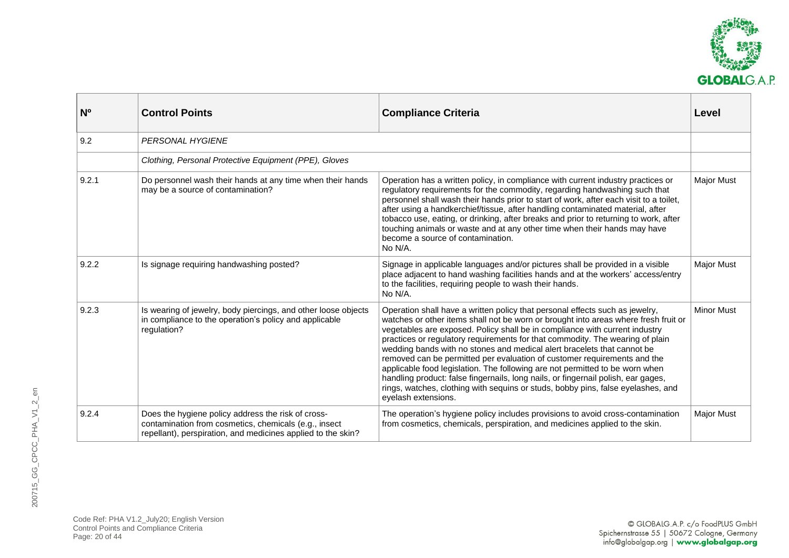

| N <sub>o</sub> | <b>Control Points</b>                                                                                                                                                       | <b>Compliance Criteria</b>                                                                                                                                                                                                                                                                                                                                                                                                                                                                                                                                                                                                                                                                                                                                                 | Level             |
|----------------|-----------------------------------------------------------------------------------------------------------------------------------------------------------------------------|----------------------------------------------------------------------------------------------------------------------------------------------------------------------------------------------------------------------------------------------------------------------------------------------------------------------------------------------------------------------------------------------------------------------------------------------------------------------------------------------------------------------------------------------------------------------------------------------------------------------------------------------------------------------------------------------------------------------------------------------------------------------------|-------------------|
| 9.2            | <b>PERSONAL HYGIENE</b>                                                                                                                                                     |                                                                                                                                                                                                                                                                                                                                                                                                                                                                                                                                                                                                                                                                                                                                                                            |                   |
|                | Clothing, Personal Protective Equipment (PPE), Gloves                                                                                                                       |                                                                                                                                                                                                                                                                                                                                                                                                                                                                                                                                                                                                                                                                                                                                                                            |                   |
| 9.2.1          | Do personnel wash their hands at any time when their hands<br>may be a source of contamination?                                                                             | Operation has a written policy, in compliance with current industry practices or<br>regulatory requirements for the commodity, regarding handwashing such that<br>personnel shall wash their hands prior to start of work, after each visit to a toilet,<br>after using a handkerchief/tissue, after handling contaminated material, after<br>tobacco use, eating, or drinking, after breaks and prior to returning to work, after<br>touching animals or waste and at any other time when their hands may have<br>become a source of contamination.<br>No N/A.                                                                                                                                                                                                            | Major Must        |
| 9.2.2          | Is signage requiring handwashing posted?                                                                                                                                    | Signage in applicable languages and/or pictures shall be provided in a visible<br>place adjacent to hand washing facilities hands and at the workers' access/entry<br>to the facilities, requiring people to wash their hands.<br>No N/A.                                                                                                                                                                                                                                                                                                                                                                                                                                                                                                                                  | Major Must        |
| 9.2.3          | Is wearing of jewelry, body piercings, and other loose objects<br>in compliance to the operation's policy and applicable<br>regulation?                                     | Operation shall have a written policy that personal effects such as jewelry,<br>watches or other items shall not be worn or brought into areas where fresh fruit or<br>vegetables are exposed. Policy shall be in compliance with current industry<br>practices or regulatory requirements for that commodity. The wearing of plain<br>wedding bands with no stones and medical alert bracelets that cannot be<br>removed can be permitted per evaluation of customer requirements and the<br>applicable food legislation. The following are not permitted to be worn when<br>handling product: false fingernails, long nails, or fingernail polish, ear gages,<br>rings, watches, clothing with sequins or studs, bobby pins, false eyelashes, and<br>eyelash extensions. | <b>Minor Must</b> |
| 9.2.4          | Does the hygiene policy address the risk of cross-<br>contamination from cosmetics, chemicals (e.g., insect<br>repellant), perspiration, and medicines applied to the skin? | The operation's hygiene policy includes provisions to avoid cross-contamination<br>from cosmetics, chemicals, perspiration, and medicines applied to the skin.                                                                                                                                                                                                                                                                                                                                                                                                                                                                                                                                                                                                             | <b>Major Must</b> |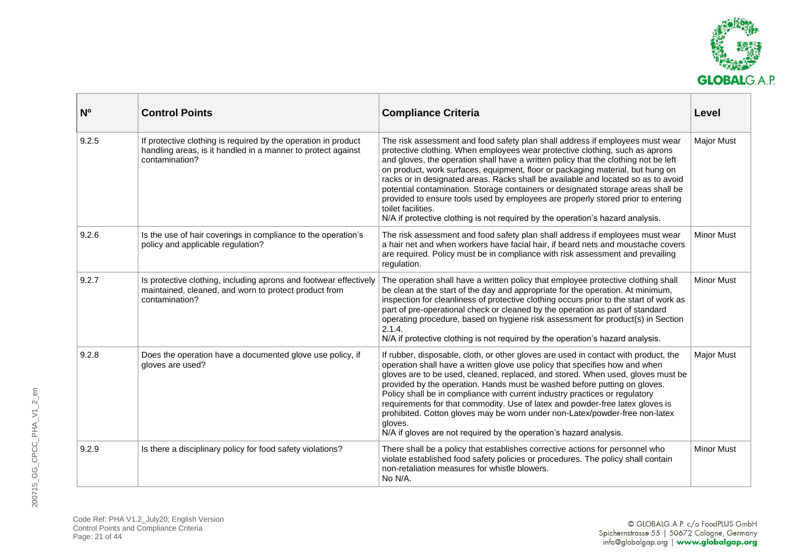

| N <sub>0</sub> | <b>Control Points</b>                                                                                                                            | <b>Compliance Criteria</b>                                                                                                                                                                                                                                                                                                                                                                                                                                                                                                                                                                                                                                                                                  | Level             |
|----------------|--------------------------------------------------------------------------------------------------------------------------------------------------|-------------------------------------------------------------------------------------------------------------------------------------------------------------------------------------------------------------------------------------------------------------------------------------------------------------------------------------------------------------------------------------------------------------------------------------------------------------------------------------------------------------------------------------------------------------------------------------------------------------------------------------------------------------------------------------------------------------|-------------------|
| 9.2.5          | If protective clothing is required by the operation in product<br>handling areas, is it handled in a manner to protect against<br>contamination? | The risk assessment and food safety plan shall address if employees must wear<br>protective clothing. When employees wear protective clothing, such as aprons<br>and gloves, the operation shall have a written policy that the clothing not be left<br>on product, work surfaces, equipment, floor or packaging material, but hung on<br>racks or in designated areas. Racks shall be available and located so as to avoid<br>potential contamination. Storage containers or designated storage areas shall be<br>provided to ensure tools used by employees are properly stored prior to entering<br>toilet facilities.<br>N/A if protective clothing is not required by the operation's hazard analysis. | <b>Major Must</b> |
| 9.2.6          | Is the use of hair coverings in compliance to the operation's<br>policy and applicable regulation?                                               | The risk assessment and food safety plan shall address if employees must wear<br>a hair net and when workers have facial hair, if beard nets and moustache covers<br>are required. Policy must be in compliance with risk assessment and prevailing<br>regulation.                                                                                                                                                                                                                                                                                                                                                                                                                                          | <b>Minor Must</b> |
| 9.2.7          | Is protective clothing, including aprons and footwear effectively<br>maintained, cleaned, and worn to protect product from<br>contamination?     | The operation shall have a written policy that employee protective clothing shall<br>be clean at the start of the day and appropriate for the operation. At minimum,<br>inspection for cleanliness of protective clothing occurs prior to the start of work as<br>part of pre-operational check or cleaned by the operation as part of standard<br>operating procedure, based on hygiene risk assessment for product(s) in Section<br>2.1.4.<br>N/A if protective clothing is not required by the operation's hazard analysis.                                                                                                                                                                              | <b>Minor Must</b> |
| 9.2.8          | Does the operation have a documented glove use policy, if<br>gloves are used?                                                                    | If rubber, disposable, cloth, or other gloves are used in contact with product, the<br>operation shall have a written glove use policy that specifies how and when<br>gloves are to be used, cleaned, replaced, and stored. When used, gloves must be<br>provided by the operation. Hands must be washed before putting on gloves.<br>Policy shall be in compliance with current industry practices or regulatory<br>requirements for that commodity. Use of latex and powder-free latex gloves is<br>prohibited. Cotton gloves may be worn under non-Latex/powder-free non-latex<br>gloves.<br>N/A if gloves are not required by the operation's hazard analysis.                                          | <b>Major Must</b> |
| 9.2.9          | Is there a disciplinary policy for food safety violations?                                                                                       | There shall be a policy that establishes corrective actions for personnel who<br>violate established food safety policies or procedures. The policy shall contain<br>non-retaliation measures for whistle blowers.<br>No N/A.                                                                                                                                                                                                                                                                                                                                                                                                                                                                               | <b>Minor Must</b> |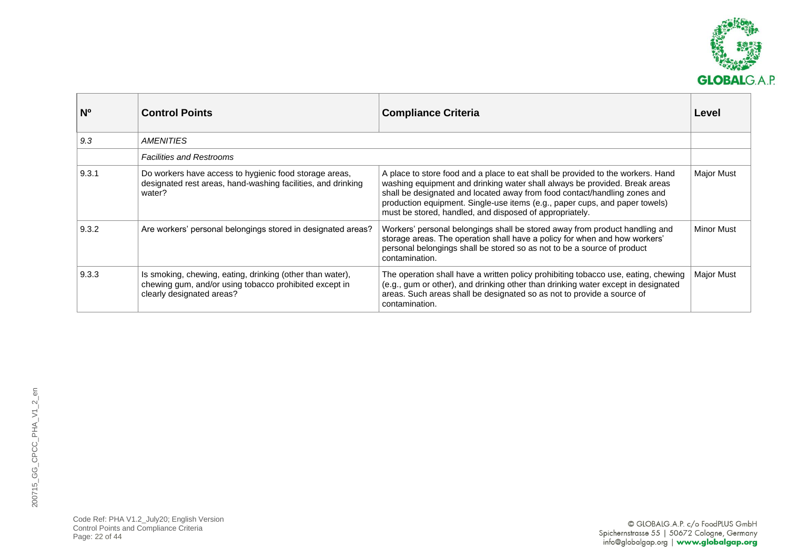

| N <sub>o</sub> | <b>Control Points</b>                                                                                                                            | <b>Compliance Criteria</b>                                                                                                                                                                                                                                                                                                                                                           | Level             |
|----------------|--------------------------------------------------------------------------------------------------------------------------------------------------|--------------------------------------------------------------------------------------------------------------------------------------------------------------------------------------------------------------------------------------------------------------------------------------------------------------------------------------------------------------------------------------|-------------------|
| 9.3            | AMENITIES                                                                                                                                        |                                                                                                                                                                                                                                                                                                                                                                                      |                   |
|                | <b>Facilities and Restrooms</b>                                                                                                                  |                                                                                                                                                                                                                                                                                                                                                                                      |                   |
| 9.3.1          | Do workers have access to hygienic food storage areas,<br>designated rest areas, hand-washing facilities, and drinking<br>water?                 | A place to store food and a place to eat shall be provided to the workers. Hand<br>washing equipment and drinking water shall always be provided. Break areas<br>shall be designated and located away from food contact/handling zones and<br>production equipment. Single-use items (e.g., paper cups, and paper towels)<br>must be stored, handled, and disposed of appropriately. | Major Must        |
| 9.3.2          | Are workers' personal belongings stored in designated areas?                                                                                     | Workers' personal belongings shall be stored away from product handling and<br>storage areas. The operation shall have a policy for when and how workers'<br>personal belongings shall be stored so as not to be a source of product<br>contamination.                                                                                                                               | <b>Minor Must</b> |
| 9.3.3          | Is smoking, chewing, eating, drinking (other than water),<br>chewing gum, and/or using tobacco prohibited except in<br>clearly designated areas? | The operation shall have a written policy prohibiting tobacco use, eating, chewing<br>(e.g., gum or other), and drinking other than drinking water except in designated<br>areas. Such areas shall be designated so as not to provide a source of<br>contamination.                                                                                                                  | Major Must        |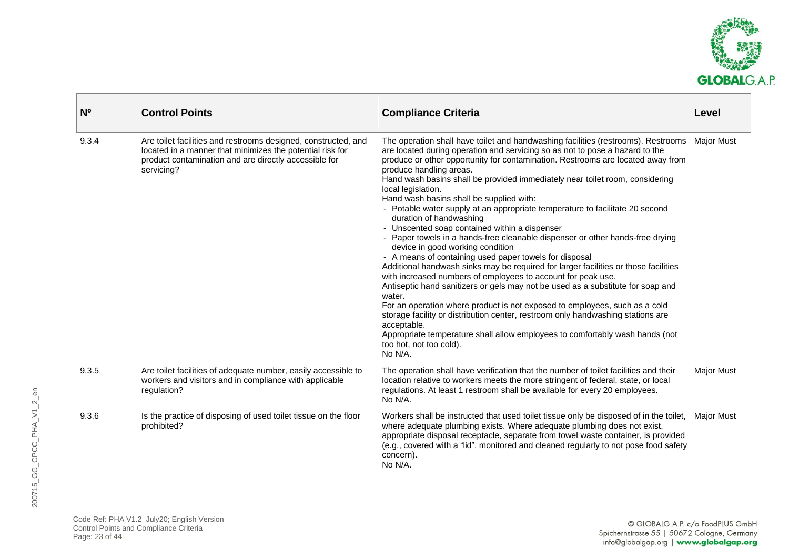

| N <sub>0</sub> | <b>Control Points</b>                                                                                                                                                                              | <b>Compliance Criteria</b>                                                                                                                                                                                                                                                                                                                                                                                                                                                                                                                                                                                                                                                                                                                                                                                                                                                                                                                                                                                                                                                                                                                                                                                                                                                                                                             | Level             |
|----------------|----------------------------------------------------------------------------------------------------------------------------------------------------------------------------------------------------|----------------------------------------------------------------------------------------------------------------------------------------------------------------------------------------------------------------------------------------------------------------------------------------------------------------------------------------------------------------------------------------------------------------------------------------------------------------------------------------------------------------------------------------------------------------------------------------------------------------------------------------------------------------------------------------------------------------------------------------------------------------------------------------------------------------------------------------------------------------------------------------------------------------------------------------------------------------------------------------------------------------------------------------------------------------------------------------------------------------------------------------------------------------------------------------------------------------------------------------------------------------------------------------------------------------------------------------|-------------------|
| 9.3.4          | Are toilet facilities and restrooms designed, constructed, and<br>located in a manner that minimizes the potential risk for<br>product contamination and are directly accessible for<br>servicing? | The operation shall have toilet and handwashing facilities (restrooms). Restrooms<br>are located during operation and servicing so as not to pose a hazard to the<br>produce or other opportunity for contamination. Restrooms are located away from<br>produce handling areas.<br>Hand wash basins shall be provided immediately near toilet room, considering<br>local legislation.<br>Hand wash basins shall be supplied with:<br>- Potable water supply at an appropriate temperature to facilitate 20 second<br>duration of handwashing<br>- Unscented soap contained within a dispenser<br>- Paper towels in a hands-free cleanable dispenser or other hands-free drying<br>device in good working condition<br>- A means of containing used paper towels for disposal<br>Additional handwash sinks may be required for larger facilities or those facilities<br>with increased numbers of employees to account for peak use.<br>Antiseptic hand sanitizers or gels may not be used as a substitute for soap and<br>water.<br>For an operation where product is not exposed to employees, such as a cold<br>storage facility or distribution center, restroom only handwashing stations are<br>acceptable.<br>Appropriate temperature shall allow employees to comfortably wash hands (not<br>too hot, not too cold).<br>No N/A. | <b>Major Must</b> |
| 9.3.5          | Are toilet facilities of adequate number, easily accessible to<br>workers and visitors and in compliance with applicable<br>regulation?                                                            | The operation shall have verification that the number of toilet facilities and their<br>location relative to workers meets the more stringent of federal, state, or local<br>regulations. At least 1 restroom shall be available for every 20 employees.<br>No N/A.                                                                                                                                                                                                                                                                                                                                                                                                                                                                                                                                                                                                                                                                                                                                                                                                                                                                                                                                                                                                                                                                    | <b>Major Must</b> |
| 9.3.6          | Is the practice of disposing of used toilet tissue on the floor<br>prohibited?                                                                                                                     | Workers shall be instructed that used toilet tissue only be disposed of in the toilet,<br>where adequate plumbing exists. Where adequate plumbing does not exist,<br>appropriate disposal receptacle, separate from towel waste container, is provided<br>(e.g., covered with a "lid", monitored and cleaned regularly to not pose food safety<br>concern).<br>No N/A.                                                                                                                                                                                                                                                                                                                                                                                                                                                                                                                                                                                                                                                                                                                                                                                                                                                                                                                                                                 | <b>Major Must</b> |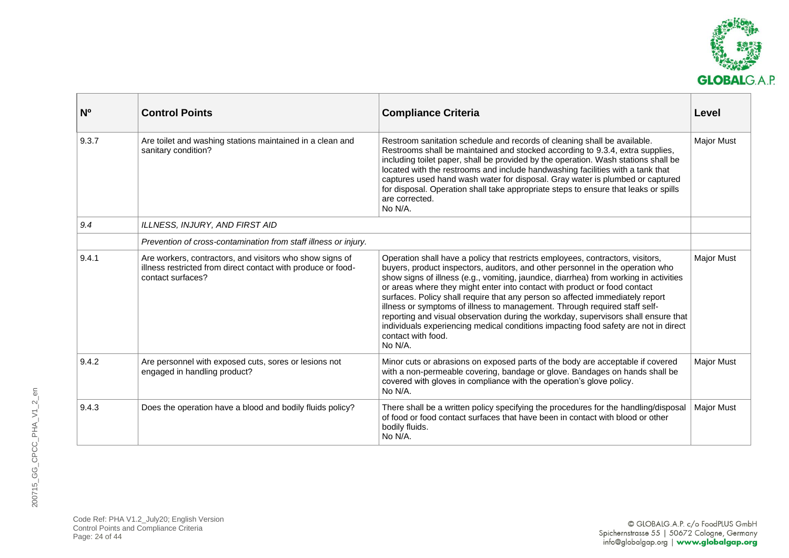

| $N^{\circ}$ | <b>Control Points</b>                                                                                                                         | <b>Compliance Criteria</b>                                                                                                                                                                                                                                                                                                                                                                                                                                                                                                                                                                                                                                                                                          | Level             |
|-------------|-----------------------------------------------------------------------------------------------------------------------------------------------|---------------------------------------------------------------------------------------------------------------------------------------------------------------------------------------------------------------------------------------------------------------------------------------------------------------------------------------------------------------------------------------------------------------------------------------------------------------------------------------------------------------------------------------------------------------------------------------------------------------------------------------------------------------------------------------------------------------------|-------------------|
| 9.3.7       | Are toilet and washing stations maintained in a clean and<br>sanitary condition?                                                              | Restroom sanitation schedule and records of cleaning shall be available.<br>Restrooms shall be maintained and stocked according to 9.3.4, extra supplies,<br>including toilet paper, shall be provided by the operation. Wash stations shall be<br>located with the restrooms and include handwashing facilities with a tank that<br>captures used hand wash water for disposal. Gray water is plumbed or captured<br>for disposal. Operation shall take appropriate steps to ensure that leaks or spills<br>are corrected.<br>No N/A.                                                                                                                                                                              | <b>Major Must</b> |
| 9.4         | ILLNESS, INJURY, AND FIRST AID                                                                                                                |                                                                                                                                                                                                                                                                                                                                                                                                                                                                                                                                                                                                                                                                                                                     |                   |
|             | Prevention of cross-contamination from staff illness or injury.                                                                               |                                                                                                                                                                                                                                                                                                                                                                                                                                                                                                                                                                                                                                                                                                                     |                   |
| 9.4.1       | Are workers, contractors, and visitors who show signs of<br>illness restricted from direct contact with produce or food-<br>contact surfaces? | Operation shall have a policy that restricts employees, contractors, visitors,<br>buyers, product inspectors, auditors, and other personnel in the operation who<br>show signs of illness (e.g., vomiting, jaundice, diarrhea) from working in activities<br>or areas where they might enter into contact with product or food contact<br>surfaces. Policy shall require that any person so affected immediately report<br>illness or symptoms of illness to management. Through required staff self-<br>reporting and visual observation during the workday, supervisors shall ensure that<br>individuals experiencing medical conditions impacting food safety are not in direct<br>contact with food.<br>No N/A. | <b>Major Must</b> |
| 9.4.2       | Are personnel with exposed cuts, sores or lesions not<br>engaged in handling product?                                                         | Minor cuts or abrasions on exposed parts of the body are acceptable if covered<br>with a non-permeable covering, bandage or glove. Bandages on hands shall be<br>covered with gloves in compliance with the operation's glove policy.<br>No N/A.                                                                                                                                                                                                                                                                                                                                                                                                                                                                    | <b>Major Must</b> |
| 9.4.3       | Does the operation have a blood and bodily fluids policy?                                                                                     | There shall be a written policy specifying the procedures for the handling/disposal<br>of food or food contact surfaces that have been in contact with blood or other<br>bodily fluids.<br>No N/A.                                                                                                                                                                                                                                                                                                                                                                                                                                                                                                                  | <b>Major Must</b> |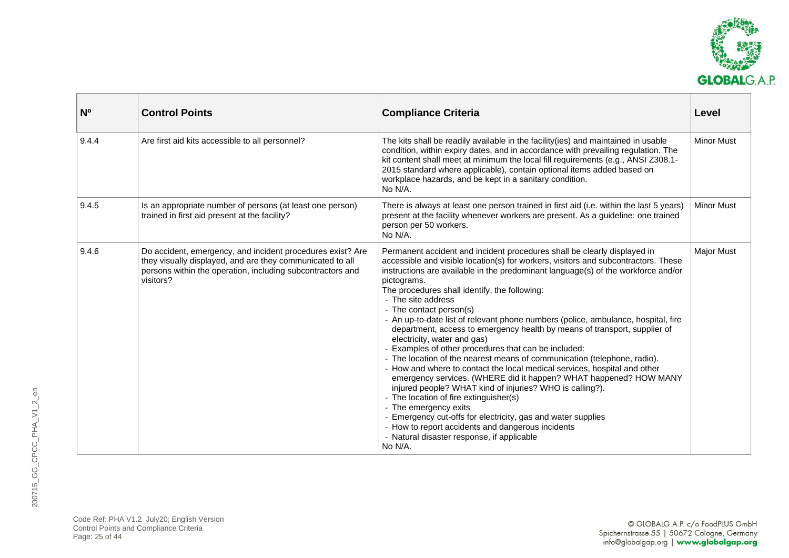

| N <sub>0</sub> | <b>Control Points</b>                                                                                                                                                                              | <b>Compliance Criteria</b>                                                                                                                                                                                                                                                                                                                                                                                                                                                                                                                                                                                                                                                                                                                                                                                                                                                                                                                                                                                                                                                                                                                                               | Level             |
|----------------|----------------------------------------------------------------------------------------------------------------------------------------------------------------------------------------------------|--------------------------------------------------------------------------------------------------------------------------------------------------------------------------------------------------------------------------------------------------------------------------------------------------------------------------------------------------------------------------------------------------------------------------------------------------------------------------------------------------------------------------------------------------------------------------------------------------------------------------------------------------------------------------------------------------------------------------------------------------------------------------------------------------------------------------------------------------------------------------------------------------------------------------------------------------------------------------------------------------------------------------------------------------------------------------------------------------------------------------------------------------------------------------|-------------------|
| 9.4.4          | Are first aid kits accessible to all personnel?                                                                                                                                                    | The kits shall be readily available in the facility (ies) and maintained in usable<br>condition, within expiry dates, and in accordance with prevailing regulation. The<br>kit content shall meet at minimum the local fill requirements (e.g., ANSI Z308.1-<br>2015 standard where applicable), contain optional items added based on<br>workplace hazards, and be kept in a sanitary condition.<br>No N/A.                                                                                                                                                                                                                                                                                                                                                                                                                                                                                                                                                                                                                                                                                                                                                             | <b>Minor Must</b> |
| 9.4.5          | Is an appropriate number of persons (at least one person)<br>trained in first aid present at the facility?                                                                                         | There is always at least one person trained in first aid (i.e. within the last 5 years)<br>present at the facility whenever workers are present. As a guideline: one trained<br>person per 50 workers.<br>No N/A.                                                                                                                                                                                                                                                                                                                                                                                                                                                                                                                                                                                                                                                                                                                                                                                                                                                                                                                                                        | <b>Minor Must</b> |
| 9.4.6          | Do accident, emergency, and incident procedures exist? Are<br>they visually displayed, and are they communicated to all<br>persons within the operation, including subcontractors and<br>visitors? | Permanent accident and incident procedures shall be clearly displayed in<br>accessible and visible location(s) for workers, visitors and subcontractors. These<br>instructions are available in the predominant language(s) of the workforce and/or<br>pictograms.<br>The procedures shall identify, the following:<br>- The site address<br>- The contact person(s)<br>- An up-to-date list of relevant phone numbers (police, ambulance, hospital, fire<br>department, access to emergency health by means of transport, supplier of<br>electricity, water and gas)<br>- Examples of other procedures that can be included:<br>- The location of the nearest means of communication (telephone, radio).<br>- How and where to contact the local medical services, hospital and other<br>emergency services. (WHERE did it happen? WHAT happened? HOW MANY<br>injured people? WHAT kind of injuries? WHO is calling?).<br>- The location of fire extinguisher(s)<br>- The emergency exits<br>- Emergency cut-offs for electricity, gas and water supplies<br>- How to report accidents and dangerous incidents<br>- Natural disaster response, if applicable<br>No N/A. | <b>Major Must</b> |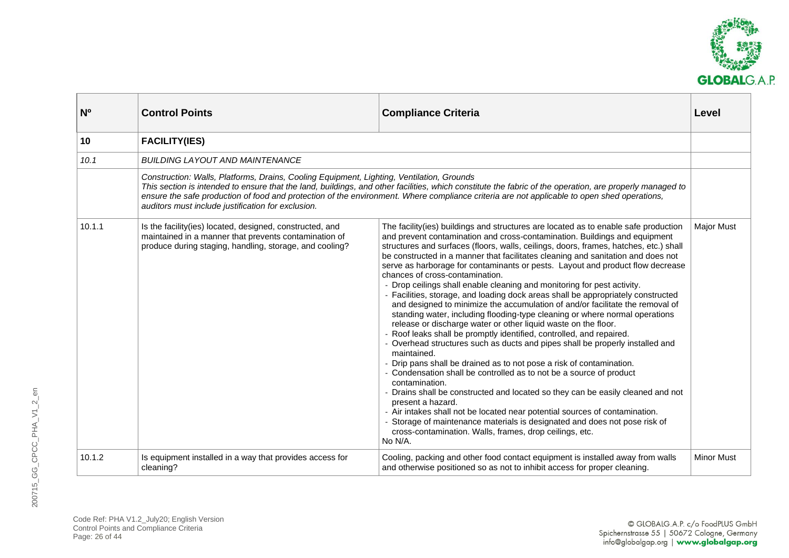

<span id="page-25-0"></span>

| N <sup>o</sup> | <b>Control Points</b>                                                                                                                                                        | <b>Compliance Criteria</b>                                                                                                                                                                                                                                                                                                                                                                                                                                                                                                                                                                                                                                                                                                                                                                                                                                                                                                                                                                                                                                                                                                                                                                                                                                                                                                                                                                                                                                                                                                                           | Level             |
|----------------|------------------------------------------------------------------------------------------------------------------------------------------------------------------------------|------------------------------------------------------------------------------------------------------------------------------------------------------------------------------------------------------------------------------------------------------------------------------------------------------------------------------------------------------------------------------------------------------------------------------------------------------------------------------------------------------------------------------------------------------------------------------------------------------------------------------------------------------------------------------------------------------------------------------------------------------------------------------------------------------------------------------------------------------------------------------------------------------------------------------------------------------------------------------------------------------------------------------------------------------------------------------------------------------------------------------------------------------------------------------------------------------------------------------------------------------------------------------------------------------------------------------------------------------------------------------------------------------------------------------------------------------------------------------------------------------------------------------------------------------|-------------------|
| 10             | <b>FACILITY(IES)</b>                                                                                                                                                         |                                                                                                                                                                                                                                                                                                                                                                                                                                                                                                                                                                                                                                                                                                                                                                                                                                                                                                                                                                                                                                                                                                                                                                                                                                                                                                                                                                                                                                                                                                                                                      |                   |
| 10.1           | <b>BUILDING LAYOUT AND MAINTENANCE</b>                                                                                                                                       |                                                                                                                                                                                                                                                                                                                                                                                                                                                                                                                                                                                                                                                                                                                                                                                                                                                                                                                                                                                                                                                                                                                                                                                                                                                                                                                                                                                                                                                                                                                                                      |                   |
|                | Construction: Walls, Platforms, Drains, Cooling Equipment, Lighting, Ventilation, Grounds<br>auditors must include justification for exclusion.                              | This section is intended to ensure that the land, buildings, and other facilities, which constitute the fabric of the operation, are properly managed to<br>ensure the safe production of food and protection of the environment. Where compliance criteria are not applicable to open shed operations,                                                                                                                                                                                                                                                                                                                                                                                                                                                                                                                                                                                                                                                                                                                                                                                                                                                                                                                                                                                                                                                                                                                                                                                                                                              |                   |
| 10.1.1         | Is the facility(ies) located, designed, constructed, and<br>maintained in a manner that prevents contamination of<br>produce during staging, handling, storage, and cooling? | The facility(ies) buildings and structures are located as to enable safe production<br>and prevent contamination and cross-contamination. Buildings and equipment<br>structures and surfaces (floors, walls, ceilings, doors, frames, hatches, etc.) shall<br>be constructed in a manner that facilitates cleaning and sanitation and does not<br>serve as harborage for contaminants or pests. Layout and product flow decrease<br>chances of cross-contamination.<br>- Drop ceilings shall enable cleaning and monitoring for pest activity.<br>- Facilities, storage, and loading dock areas shall be appropriately constructed<br>and designed to minimize the accumulation of and/or facilitate the removal of<br>standing water, including flooding-type cleaning or where normal operations<br>release or discharge water or other liquid waste on the floor.<br>- Roof leaks shall be promptly identified, controlled, and repaired.<br>- Overhead structures such as ducts and pipes shall be properly installed and<br>maintained.<br>- Drip pans shall be drained as to not pose a risk of contamination.<br>- Condensation shall be controlled as to not be a source of product<br>contamination.<br>Drains shall be constructed and located so they can be easily cleaned and not<br>present a hazard.<br>- Air intakes shall not be located near potential sources of contamination.<br>Storage of maintenance materials is designated and does not pose risk of<br>cross-contamination. Walls, frames, drop ceilings, etc.<br>No N/A. | <b>Major Must</b> |
| 10.1.2         | Is equipment installed in a way that provides access for<br>cleaning?                                                                                                        | Cooling, packing and other food contact equipment is installed away from walls<br>and otherwise positioned so as not to inhibit access for proper cleaning.                                                                                                                                                                                                                                                                                                                                                                                                                                                                                                                                                                                                                                                                                                                                                                                                                                                                                                                                                                                                                                                                                                                                                                                                                                                                                                                                                                                          | <b>Minor Must</b> |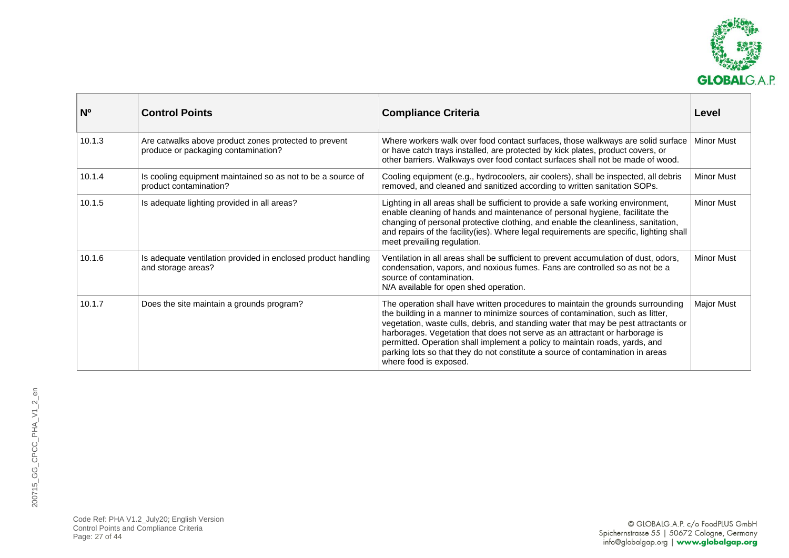

| N <sub>o</sub> | <b>Control Points</b>                                                                        | <b>Compliance Criteria</b>                                                                                                                                                                                                                                                                                                                                                                                                                                                                                                         | Level             |
|----------------|----------------------------------------------------------------------------------------------|------------------------------------------------------------------------------------------------------------------------------------------------------------------------------------------------------------------------------------------------------------------------------------------------------------------------------------------------------------------------------------------------------------------------------------------------------------------------------------------------------------------------------------|-------------------|
| 10.1.3         | Are catwalks above product zones protected to prevent<br>produce or packaging contamination? | Where workers walk over food contact surfaces, those walkways are solid surface<br>or have catch trays installed, are protected by kick plates, product covers, or<br>other barriers. Walkways over food contact surfaces shall not be made of wood.                                                                                                                                                                                                                                                                               | <b>Minor Must</b> |
| 10.1.4         | Is cooling equipment maintained so as not to be a source of<br>product contamination?        | Cooling equipment (e.g., hydrocoolers, air coolers), shall be inspected, all debris<br>removed, and cleaned and sanitized according to written sanitation SOPs.                                                                                                                                                                                                                                                                                                                                                                    | <b>Minor Must</b> |
| 10.1.5         | Is adequate lighting provided in all areas?                                                  | Lighting in all areas shall be sufficient to provide a safe working environment,<br>enable cleaning of hands and maintenance of personal hygiene, facilitate the<br>changing of personal protective clothing, and enable the cleanliness, sanitation,<br>and repairs of the facility (ies). Where legal requirements are specific, lighting shall<br>meet prevailing regulation.                                                                                                                                                   | <b>Minor Must</b> |
| 10.1.6         | Is adequate ventilation provided in enclosed product handling<br>and storage areas?          | Ventilation in all areas shall be sufficient to prevent accumulation of dust, odors,<br>condensation, vapors, and noxious fumes. Fans are controlled so as not be a<br>source of contamination.<br>N/A available for open shed operation.                                                                                                                                                                                                                                                                                          | <b>Minor Must</b> |
| 10.1.7         | Does the site maintain a grounds program?                                                    | The operation shall have written procedures to maintain the grounds surrounding<br>the building in a manner to minimize sources of contamination, such as litter,<br>vegetation, waste culls, debris, and standing water that may be pest attractants or<br>harborages. Vegetation that does not serve as an attractant or harborage is<br>permitted. Operation shall implement a policy to maintain roads, yards, and<br>parking lots so that they do not constitute a source of contamination in areas<br>where food is exposed. | Major Must        |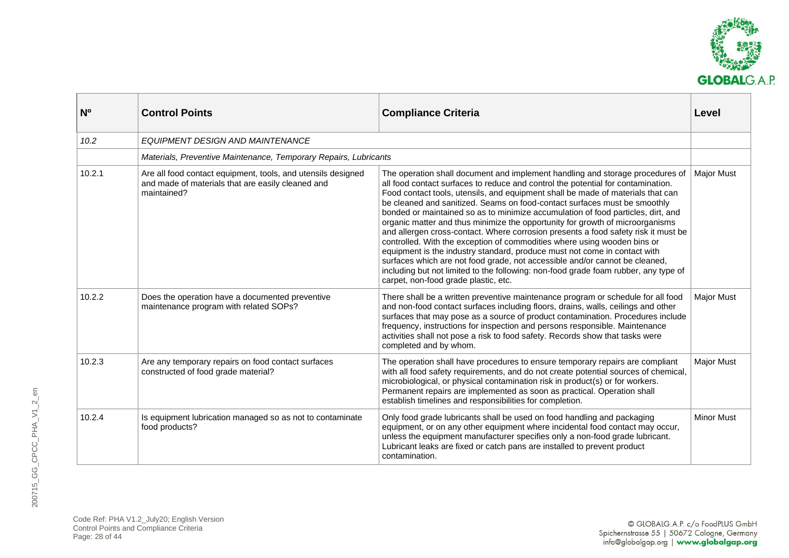

| N <sup>o</sup> | <b>Control Points</b>                                                                                                            | <b>Compliance Criteria</b>                                                                                                                                                                                                                                                                                                                                                                                                                                                                                                                                                                                                                                                                                                                                                                                                                                                                                                                                          | Level             |
|----------------|----------------------------------------------------------------------------------------------------------------------------------|---------------------------------------------------------------------------------------------------------------------------------------------------------------------------------------------------------------------------------------------------------------------------------------------------------------------------------------------------------------------------------------------------------------------------------------------------------------------------------------------------------------------------------------------------------------------------------------------------------------------------------------------------------------------------------------------------------------------------------------------------------------------------------------------------------------------------------------------------------------------------------------------------------------------------------------------------------------------|-------------------|
| 10.2           | EQUIPMENT DESIGN AND MAINTENANCE                                                                                                 |                                                                                                                                                                                                                                                                                                                                                                                                                                                                                                                                                                                                                                                                                                                                                                                                                                                                                                                                                                     |                   |
|                | Materials, Preventive Maintenance, Temporary Repairs, Lubricants                                                                 |                                                                                                                                                                                                                                                                                                                                                                                                                                                                                                                                                                                                                                                                                                                                                                                                                                                                                                                                                                     |                   |
| 10.2.1         | Are all food contact equipment, tools, and utensils designed<br>and made of materials that are easily cleaned and<br>maintained? | The operation shall document and implement handling and storage procedures of<br>all food contact surfaces to reduce and control the potential for contamination.<br>Food contact tools, utensils, and equipment shall be made of materials that can<br>be cleaned and sanitized. Seams on food-contact surfaces must be smoothly<br>bonded or maintained so as to minimize accumulation of food particles, dirt, and<br>organic matter and thus minimize the opportunity for growth of microorganisms<br>and allergen cross-contact. Where corrosion presents a food safety risk it must be<br>controlled. With the exception of commodities where using wooden bins or<br>equipment is the industry standard, produce must not come in contact with<br>surfaces which are not food grade, not accessible and/or cannot be cleaned,<br>including but not limited to the following: non-food grade foam rubber, any type of<br>carpet, non-food grade plastic, etc. | <b>Major Must</b> |
| 10.2.2         | Does the operation have a documented preventive<br>maintenance program with related SOPs?                                        | There shall be a written preventive maintenance program or schedule for all food<br>and non-food contact surfaces including floors, drains, walls, ceilings and other<br>surfaces that may pose as a source of product contamination. Procedures include<br>frequency, instructions for inspection and persons responsible. Maintenance<br>activities shall not pose a risk to food safety. Records show that tasks were<br>completed and by whom.                                                                                                                                                                                                                                                                                                                                                                                                                                                                                                                  | <b>Major Must</b> |
| 10.2.3         | Are any temporary repairs on food contact surfaces<br>constructed of food grade material?                                        | The operation shall have procedures to ensure temporary repairs are compliant<br>with all food safety requirements, and do not create potential sources of chemical,<br>microbiological, or physical contamination risk in product(s) or for workers.<br>Permanent repairs are implemented as soon as practical. Operation shall<br>establish timelines and responsibilities for completion.                                                                                                                                                                                                                                                                                                                                                                                                                                                                                                                                                                        | <b>Major Must</b> |
| 10.2.4         | Is equipment lubrication managed so as not to contaminate<br>food products?                                                      | Only food grade lubricants shall be used on food handling and packaging<br>equipment, or on any other equipment where incidental food contact may occur,<br>unless the equipment manufacturer specifies only a non-food grade lubricant.<br>Lubricant leaks are fixed or catch pans are installed to prevent product<br>contamination.                                                                                                                                                                                                                                                                                                                                                                                                                                                                                                                                                                                                                              | <b>Minor Must</b> |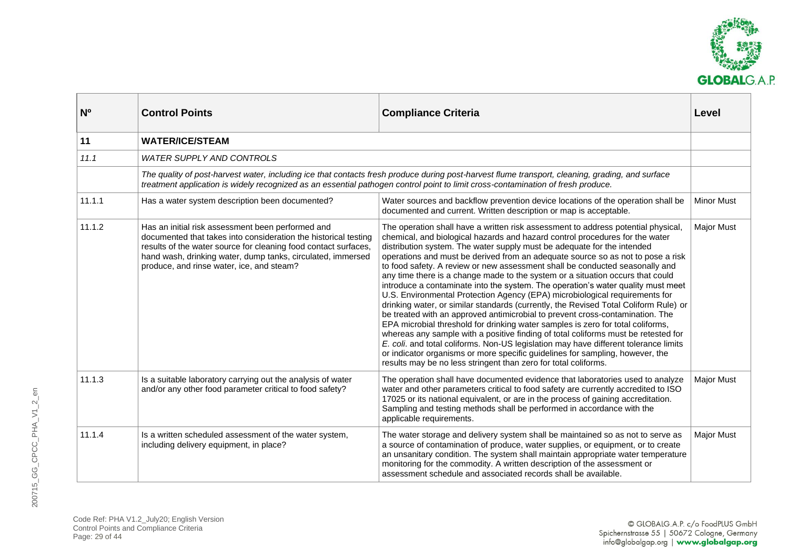

<span id="page-28-0"></span>

| N <sub>o</sub> | <b>Control Points</b>                                                                                                                                                                                                                                                                               | <b>Compliance Criteria</b>                                                                                                                                                                                                                                                                                                                                                                                                                                                                                                                                                                                                                                                                                                                                                                                                                                                                                                                                                                                                                                                                                                                                                                                                                                         | Level             |
|----------------|-----------------------------------------------------------------------------------------------------------------------------------------------------------------------------------------------------------------------------------------------------------------------------------------------------|--------------------------------------------------------------------------------------------------------------------------------------------------------------------------------------------------------------------------------------------------------------------------------------------------------------------------------------------------------------------------------------------------------------------------------------------------------------------------------------------------------------------------------------------------------------------------------------------------------------------------------------------------------------------------------------------------------------------------------------------------------------------------------------------------------------------------------------------------------------------------------------------------------------------------------------------------------------------------------------------------------------------------------------------------------------------------------------------------------------------------------------------------------------------------------------------------------------------------------------------------------------------|-------------------|
| 11             | <b>WATER/ICE/STEAM</b>                                                                                                                                                                                                                                                                              |                                                                                                                                                                                                                                                                                                                                                                                                                                                                                                                                                                                                                                                                                                                                                                                                                                                                                                                                                                                                                                                                                                                                                                                                                                                                    |                   |
| 11.1           | <b>WATER SUPPLY AND CONTROLS</b>                                                                                                                                                                                                                                                                    |                                                                                                                                                                                                                                                                                                                                                                                                                                                                                                                                                                                                                                                                                                                                                                                                                                                                                                                                                                                                                                                                                                                                                                                                                                                                    |                   |
|                |                                                                                                                                                                                                                                                                                                     | The quality of post-harvest water, including ice that contacts fresh produce during post-harvest flume transport, cleaning, grading, and surface<br>treatment application is widely recognized as an essential pathogen control point to limit cross-contamination of fresh produce.                                                                                                                                                                                                                                                                                                                                                                                                                                                                                                                                                                                                                                                                                                                                                                                                                                                                                                                                                                               |                   |
| 11.1.1         | Has a water system description been documented?                                                                                                                                                                                                                                                     | Water sources and backflow prevention device locations of the operation shall be<br>documented and current. Written description or map is acceptable.                                                                                                                                                                                                                                                                                                                                                                                                                                                                                                                                                                                                                                                                                                                                                                                                                                                                                                                                                                                                                                                                                                              | <b>Minor Must</b> |
| 11.1.2         | Has an initial risk assessment been performed and<br>documented that takes into consideration the historical testing<br>results of the water source for cleaning food contact surfaces,<br>hand wash, drinking water, dump tanks, circulated, immersed<br>produce, and rinse water, ice, and steam? | The operation shall have a written risk assessment to address potential physical,<br>chemical, and biological hazards and hazard control procedures for the water<br>distribution system. The water supply must be adequate for the intended<br>operations and must be derived from an adequate source so as not to pose a risk<br>to food safety. A review or new assessment shall be conducted seasonally and<br>any time there is a change made to the system or a situation occurs that could<br>introduce a contaminate into the system. The operation's water quality must meet<br>U.S. Environmental Protection Agency (EPA) microbiological requirements for<br>drinking water, or similar standards (currently, the Revised Total Coliform Rule) or<br>be treated with an approved antimicrobial to prevent cross-contamination. The<br>EPA microbial threshold for drinking water samples is zero for total coliforms,<br>whereas any sample with a positive finding of total coliforms must be retested for<br>E. coli. and total coliforms. Non-US legislation may have different tolerance limits<br>or indicator organisms or more specific guidelines for sampling, however, the<br>results may be no less stringent than zero for total coliforms. | <b>Major Must</b> |
| 11.1.3         | Is a suitable laboratory carrying out the analysis of water<br>and/or any other food parameter critical to food safety?                                                                                                                                                                             | The operation shall have documented evidence that laboratories used to analyze<br>water and other parameters critical to food safety are currently accredited to ISO<br>17025 or its national equivalent, or are in the process of gaining accreditation.<br>Sampling and testing methods shall be performed in accordance with the<br>applicable requirements.                                                                                                                                                                                                                                                                                                                                                                                                                                                                                                                                                                                                                                                                                                                                                                                                                                                                                                    | <b>Major Must</b> |
| 11.1.4         | Is a written scheduled assessment of the water system,<br>including delivery equipment, in place?                                                                                                                                                                                                   | The water storage and delivery system shall be maintained so as not to serve as<br>a source of contamination of produce, water supplies, or equipment, or to create<br>an unsanitary condition. The system shall maintain appropriate water temperature<br>monitoring for the commodity. A written description of the assessment or<br>assessment schedule and associated records shall be available.                                                                                                                                                                                                                                                                                                                                                                                                                                                                                                                                                                                                                                                                                                                                                                                                                                                              | <b>Major Must</b> |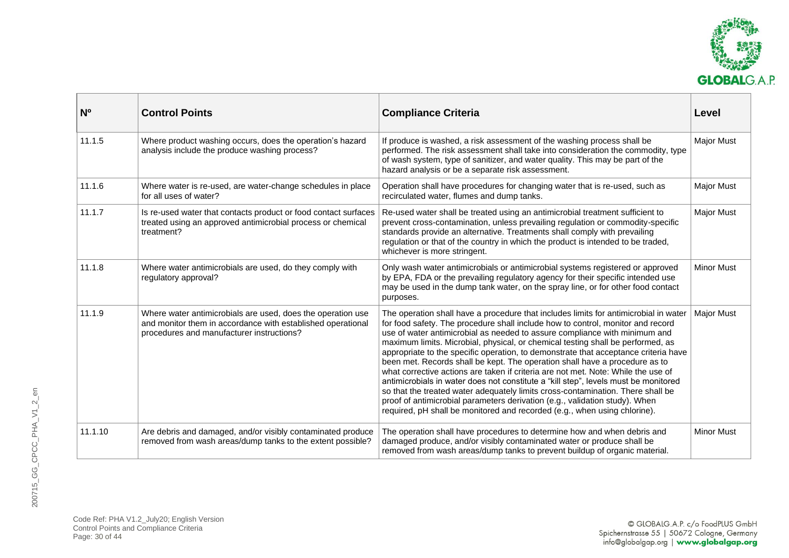

| N <sup>o</sup> | <b>Control Points</b>                                                                                                                                                   | <b>Compliance Criteria</b>                                                                                                                                                                                                                                                                                                                                                                                                                                                                                                                                                                                                                                                                                                                                                                                                                                                                                                                | Level             |
|----------------|-------------------------------------------------------------------------------------------------------------------------------------------------------------------------|-------------------------------------------------------------------------------------------------------------------------------------------------------------------------------------------------------------------------------------------------------------------------------------------------------------------------------------------------------------------------------------------------------------------------------------------------------------------------------------------------------------------------------------------------------------------------------------------------------------------------------------------------------------------------------------------------------------------------------------------------------------------------------------------------------------------------------------------------------------------------------------------------------------------------------------------|-------------------|
| 11.1.5         | Where product washing occurs, does the operation's hazard<br>analysis include the produce washing process?                                                              | If produce is washed, a risk assessment of the washing process shall be<br>performed. The risk assessment shall take into consideration the commodity, type<br>of wash system, type of sanitizer, and water quality. This may be part of the<br>hazard analysis or be a separate risk assessment.                                                                                                                                                                                                                                                                                                                                                                                                                                                                                                                                                                                                                                         | <b>Major Must</b> |
| 11.1.6         | Where water is re-used, are water-change schedules in place<br>for all uses of water?                                                                                   | Operation shall have procedures for changing water that is re-used, such as<br>recirculated water, flumes and dump tanks.                                                                                                                                                                                                                                                                                                                                                                                                                                                                                                                                                                                                                                                                                                                                                                                                                 | <b>Major Must</b> |
| 11.1.7         | Is re-used water that contacts product or food contact surfaces<br>treated using an approved antimicrobial process or chemical<br>treatment?                            | Re-used water shall be treated using an antimicrobial treatment sufficient to<br>prevent cross-contamination, unless prevailing regulation or commodity-specific<br>standards provide an alternative. Treatments shall comply with prevailing<br>regulation or that of the country in which the product is intended to be traded,<br>whichever is more stringent.                                                                                                                                                                                                                                                                                                                                                                                                                                                                                                                                                                         | <b>Major Must</b> |
| 11.1.8         | Where water antimicrobials are used, do they comply with<br>regulatory approval?                                                                                        | Only wash water antimicrobials or antimicrobial systems registered or approved<br>by EPA, FDA or the prevailing regulatory agency for their specific intended use<br>may be used in the dump tank water, on the spray line, or for other food contact<br>purposes.                                                                                                                                                                                                                                                                                                                                                                                                                                                                                                                                                                                                                                                                        | <b>Minor Must</b> |
| 11.1.9         | Where water antimicrobials are used, does the operation use<br>and monitor them in accordance with established operational<br>procedures and manufacturer instructions? | The operation shall have a procedure that includes limits for antimicrobial in water<br>for food safety. The procedure shall include how to control, monitor and record<br>use of water antimicrobial as needed to assure compliance with minimum and<br>maximum limits. Microbial, physical, or chemical testing shall be performed, as<br>appropriate to the specific operation, to demonstrate that acceptance criteria have<br>been met. Records shall be kept. The operation shall have a procedure as to<br>what corrective actions are taken if criteria are not met. Note: While the use of<br>antimicrobials in water does not constitute a "kill step", levels must be monitored<br>so that the treated water adequately limits cross-contamination. There shall be<br>proof of antimicrobial parameters derivation (e.g., validation study). When<br>required, pH shall be monitored and recorded (e.g., when using chlorine). | <b>Major Must</b> |
| 11.1.10        | Are debris and damaged, and/or visibly contaminated produce<br>removed from wash areas/dump tanks to the extent possible?                                               | The operation shall have procedures to determine how and when debris and<br>damaged produce, and/or visibly contaminated water or produce shall be<br>removed from wash areas/dump tanks to prevent buildup of organic material.                                                                                                                                                                                                                                                                                                                                                                                                                                                                                                                                                                                                                                                                                                          | <b>Minor Must</b> |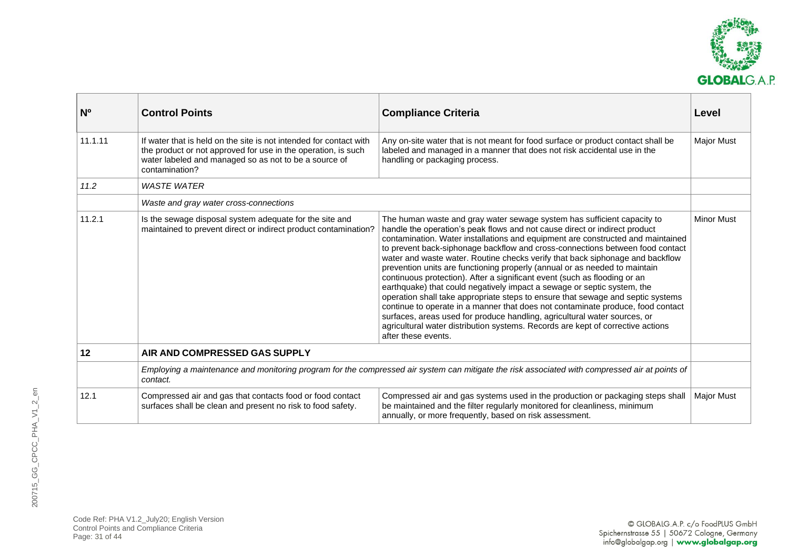

<span id="page-30-0"></span>

| N <sup>o</sup> | <b>Control Points</b>                                                                                                                                                                                          | <b>Compliance Criteria</b>                                                                                                                                                                                                                                                                                                                                                                                                                                                                                                                                                                                                                                                                                                                                                                                                                                                                                                                                                                                    | Level             |
|----------------|----------------------------------------------------------------------------------------------------------------------------------------------------------------------------------------------------------------|---------------------------------------------------------------------------------------------------------------------------------------------------------------------------------------------------------------------------------------------------------------------------------------------------------------------------------------------------------------------------------------------------------------------------------------------------------------------------------------------------------------------------------------------------------------------------------------------------------------------------------------------------------------------------------------------------------------------------------------------------------------------------------------------------------------------------------------------------------------------------------------------------------------------------------------------------------------------------------------------------------------|-------------------|
| 11.1.11        | If water that is held on the site is not intended for contact with<br>the product or not approved for use in the operation, is such<br>water labeled and managed so as not to be a source of<br>contamination? | Any on-site water that is not meant for food surface or product contact shall be<br>labeled and managed in a manner that does not risk accidental use in the<br>handling or packaging process.                                                                                                                                                                                                                                                                                                                                                                                                                                                                                                                                                                                                                                                                                                                                                                                                                | <b>Major Must</b> |
| 11.2           | <b>WASTE WATER</b>                                                                                                                                                                                             |                                                                                                                                                                                                                                                                                                                                                                                                                                                                                                                                                                                                                                                                                                                                                                                                                                                                                                                                                                                                               |                   |
|                | Waste and gray water cross-connections                                                                                                                                                                         |                                                                                                                                                                                                                                                                                                                                                                                                                                                                                                                                                                                                                                                                                                                                                                                                                                                                                                                                                                                                               |                   |
| 11.2.1         | Is the sewage disposal system adequate for the site and<br>maintained to prevent direct or indirect product contamination?                                                                                     | The human waste and gray water sewage system has sufficient capacity to<br>handle the operation's peak flows and not cause direct or indirect product<br>contamination. Water installations and equipment are constructed and maintained<br>to prevent back-siphonage backflow and cross-connections between food contact<br>water and waste water. Routine checks verify that back siphonage and backflow<br>prevention units are functioning properly (annual or as needed to maintain<br>continuous protection). After a significant event (such as flooding or an<br>earthquake) that could negatively impact a sewage or septic system, the<br>operation shall take appropriate steps to ensure that sewage and septic systems<br>continue to operate in a manner that does not contaminate produce, food contact<br>surfaces, areas used for produce handling, agricultural water sources, or<br>agricultural water distribution systems. Records are kept of corrective actions<br>after these events. | <b>Minor Must</b> |
| 12             | AIR AND COMPRESSED GAS SUPPLY                                                                                                                                                                                  |                                                                                                                                                                                                                                                                                                                                                                                                                                                                                                                                                                                                                                                                                                                                                                                                                                                                                                                                                                                                               |                   |
|                | Employing a maintenance and monitoring program for the compressed air system can mitigate the risk associated with compressed air at points of<br>contact.                                                     |                                                                                                                                                                                                                                                                                                                                                                                                                                                                                                                                                                                                                                                                                                                                                                                                                                                                                                                                                                                                               |                   |
| 12.1           | Compressed air and gas that contacts food or food contact<br>surfaces shall be clean and present no risk to food safety.                                                                                       | Compressed air and gas systems used in the production or packaging steps shall<br>be maintained and the filter regularly monitored for cleanliness, minimum<br>annually, or more frequently, based on risk assessment.                                                                                                                                                                                                                                                                                                                                                                                                                                                                                                                                                                                                                                                                                                                                                                                        | <b>Major Must</b> |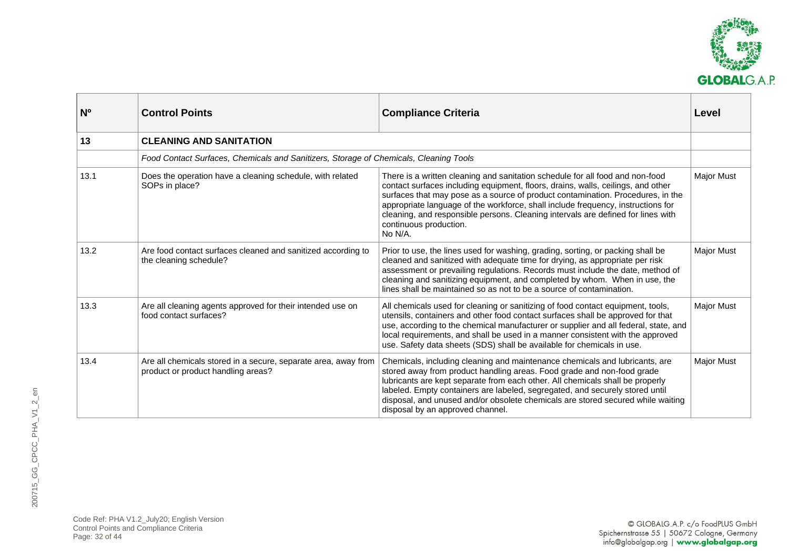

<span id="page-31-0"></span>

| N <sub>0</sub> | <b>Control Points</b>                                                                                | <b>Compliance Criteria</b>                                                                                                                                                                                                                                                                                                                                                                                                                                        | Level             |
|----------------|------------------------------------------------------------------------------------------------------|-------------------------------------------------------------------------------------------------------------------------------------------------------------------------------------------------------------------------------------------------------------------------------------------------------------------------------------------------------------------------------------------------------------------------------------------------------------------|-------------------|
| 13             | <b>CLEANING AND SANITATION</b>                                                                       |                                                                                                                                                                                                                                                                                                                                                                                                                                                                   |                   |
|                | Food Contact Surfaces, Chemicals and Sanitizers, Storage of Chemicals, Cleaning Tools                |                                                                                                                                                                                                                                                                                                                                                                                                                                                                   |                   |
| 13.1           | Does the operation have a cleaning schedule, with related<br>SOPs in place?                          | There is a written cleaning and sanitation schedule for all food and non-food<br>contact surfaces including equipment, floors, drains, walls, ceilings, and other<br>surfaces that may pose as a source of product contamination. Procedures, in the<br>appropriate language of the workforce, shall include frequency, instructions for<br>cleaning, and responsible persons. Cleaning intervals are defined for lines with<br>continuous production.<br>No N/A. | <b>Major Must</b> |
| 13.2           | Are food contact surfaces cleaned and sanitized according to<br>the cleaning schedule?               | Prior to use, the lines used for washing, grading, sorting, or packing shall be<br>cleaned and sanitized with adequate time for drying, as appropriate per risk<br>assessment or prevailing regulations. Records must include the date, method of<br>cleaning and sanitizing equipment, and completed by whom. When in use, the<br>lines shall be maintained so as not to be a source of contamination.                                                           | <b>Major Must</b> |
| 13.3           | Are all cleaning agents approved for their intended use on<br>food contact surfaces?                 | All chemicals used for cleaning or sanitizing of food contact equipment, tools,<br>utensils, containers and other food contact surfaces shall be approved for that<br>use, according to the chemical manufacturer or supplier and all federal, state, and<br>local requirements, and shall be used in a manner consistent with the approved<br>use. Safety data sheets (SDS) shall be available for chemicals in use.                                             | <b>Major Must</b> |
| 13.4           | Are all chemicals stored in a secure, separate area, away from<br>product or product handling areas? | Chemicals, including cleaning and maintenance chemicals and lubricants, are<br>stored away from product handling areas. Food grade and non-food grade<br>lubricants are kept separate from each other. All chemicals shall be properly<br>labeled. Empty containers are labeled, segregated, and securely stored until<br>disposal, and unused and/or obsolete chemicals are stored secured while waiting<br>disposal by an approved channel.                     | <b>Major Must</b> |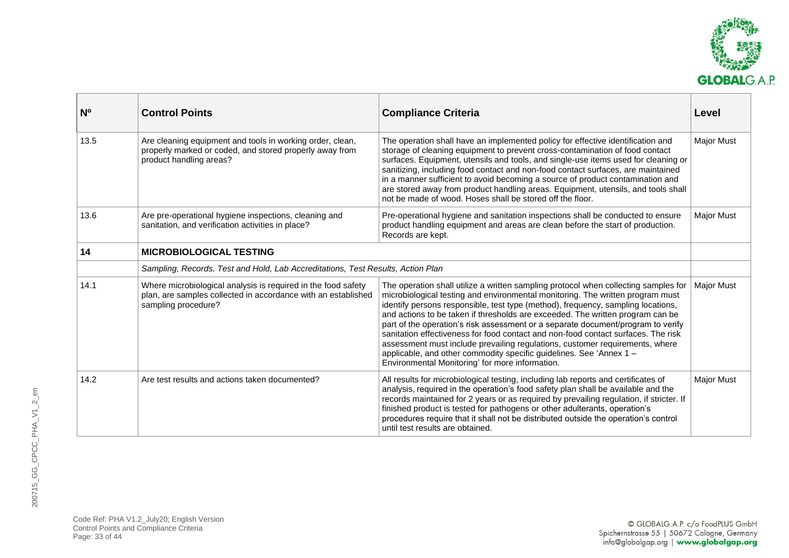

<span id="page-32-0"></span>

| N <sub>o</sub> | <b>Control Points</b>                                                                                                                                 | <b>Compliance Criteria</b>                                                                                                                                                                                                                                                                                                                                                                                                                                                                                                                                                                                                                                                                                                     | Level             |
|----------------|-------------------------------------------------------------------------------------------------------------------------------------------------------|--------------------------------------------------------------------------------------------------------------------------------------------------------------------------------------------------------------------------------------------------------------------------------------------------------------------------------------------------------------------------------------------------------------------------------------------------------------------------------------------------------------------------------------------------------------------------------------------------------------------------------------------------------------------------------------------------------------------------------|-------------------|
| 13.5           | Are cleaning equipment and tools in working order, clean,<br>properly marked or coded, and stored properly away from<br>product handling areas?       | The operation shall have an implemented policy for effective identification and<br>storage of cleaning equipment to prevent cross-contamination of food contact<br>surfaces. Equipment, utensils and tools, and single-use items used for cleaning or<br>sanitizing, including food contact and non-food contact surfaces, are maintained<br>in a manner sufficient to avoid becoming a source of product contamination and<br>are stored away from product handling areas. Equipment, utensils, and tools shall<br>not be made of wood. Hoses shall be stored off the floor.                                                                                                                                                  | <b>Major Must</b> |
| 13.6           | Are pre-operational hygiene inspections, cleaning and<br>sanitation, and verification activities in place?                                            | Pre-operational hygiene and sanitation inspections shall be conducted to ensure<br>product handling equipment and areas are clean before the start of production.<br>Records are kept.                                                                                                                                                                                                                                                                                                                                                                                                                                                                                                                                         | <b>Major Must</b> |
| 14             | <b>MICROBIOLOGICAL TESTING</b>                                                                                                                        |                                                                                                                                                                                                                                                                                                                                                                                                                                                                                                                                                                                                                                                                                                                                |                   |
|                | Sampling, Records, Test and Hold, Lab Accreditations, Test Results, Action Plan                                                                       |                                                                                                                                                                                                                                                                                                                                                                                                                                                                                                                                                                                                                                                                                                                                |                   |
| 14.1           | Where microbiological analysis is required in the food safety<br>plan, are samples collected in accordance with an established<br>sampling procedure? | The operation shall utilize a written sampling protocol when collecting samples for<br>microbiological testing and environmental monitoring. The written program must<br>identify persons responsible, test type (method), frequency, sampling locations,<br>and actions to be taken if thresholds are exceeded. The written program can be<br>part of the operation's risk assessment or a separate document/program to verify<br>sanitation effectiveness for food contact and non-food contact surfaces. The risk<br>assessment must include prevailing regulations, customer requirements, where<br>applicable, and other commodity specific guidelines. See 'Annex 1 -<br>Environmental Monitoring' for more information. | <b>Major Must</b> |
| 14.2           | Are test results and actions taken documented?                                                                                                        | All results for microbiological testing, including lab reports and certificates of<br>analysis, required in the operation's food safety plan shall be available and the<br>records maintained for 2 years or as required by prevailing regulation, if stricter. If<br>finished product is tested for pathogens or other adulterants, operation's<br>procedures require that it shall not be distributed outside the operation's control<br>until test results are obtained.                                                                                                                                                                                                                                                    | <b>Major Must</b> |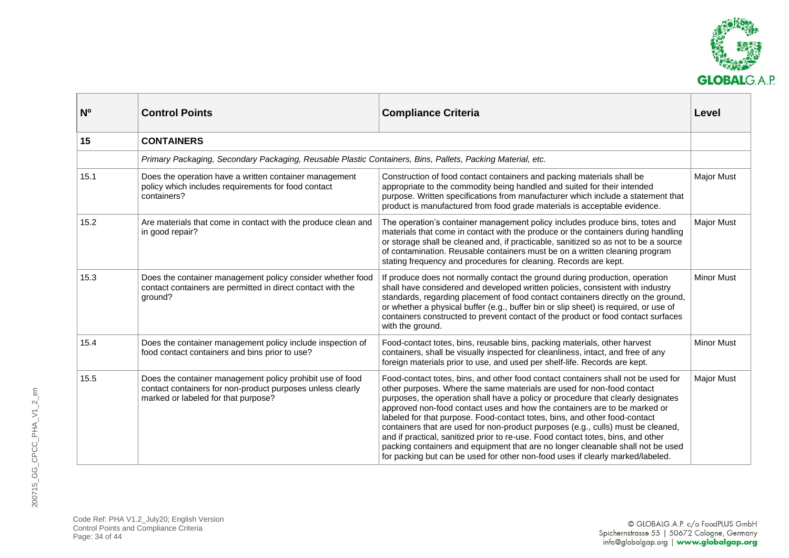

<span id="page-33-0"></span>

| <b>N°</b> | <b>Control Points</b>                                                                                                                                          | <b>Compliance Criteria</b>                                                                                                                                                                                                                                                                                                                                                                                                                                                                                                                                                                                                                                                                                                                              | Level             |
|-----------|----------------------------------------------------------------------------------------------------------------------------------------------------------------|---------------------------------------------------------------------------------------------------------------------------------------------------------------------------------------------------------------------------------------------------------------------------------------------------------------------------------------------------------------------------------------------------------------------------------------------------------------------------------------------------------------------------------------------------------------------------------------------------------------------------------------------------------------------------------------------------------------------------------------------------------|-------------------|
| 15        | <b>CONTAINERS</b>                                                                                                                                              |                                                                                                                                                                                                                                                                                                                                                                                                                                                                                                                                                                                                                                                                                                                                                         |                   |
|           | Primary Packaging, Secondary Packaging, Reusable Plastic Containers, Bins, Pallets, Packing Material, etc.                                                     |                                                                                                                                                                                                                                                                                                                                                                                                                                                                                                                                                                                                                                                                                                                                                         |                   |
| 15.1      | Does the operation have a written container management<br>policy which includes requirements for food contact<br>containers?                                   | Construction of food contact containers and packing materials shall be<br>appropriate to the commodity being handled and suited for their intended<br>purpose. Written specifications from manufacturer which include a statement that<br>product is manufactured from food grade materials is acceptable evidence.                                                                                                                                                                                                                                                                                                                                                                                                                                     | <b>Major Must</b> |
| 15.2      | Are materials that come in contact with the produce clean and<br>in good repair?                                                                               | The operation's container management policy includes produce bins, totes and<br>materials that come in contact with the produce or the containers during handling<br>or storage shall be cleaned and, if practicable, sanitized so as not to be a source<br>of contamination. Reusable containers must be on a written cleaning program<br>stating frequency and procedures for cleaning. Records are kept.                                                                                                                                                                                                                                                                                                                                             | <b>Major Must</b> |
| 15.3      | Does the container management policy consider whether food<br>contact containers are permitted in direct contact with the<br>ground?                           | If produce does not normally contact the ground during production, operation<br>shall have considered and developed written policies, consistent with industry<br>standards, regarding placement of food contact containers directly on the ground,<br>or whether a physical buffer (e.g., buffer bin or slip sheet) is required, or use of<br>containers constructed to prevent contact of the product or food contact surfaces<br>with the ground.                                                                                                                                                                                                                                                                                                    | <b>Minor Must</b> |
| 15.4      | Does the container management policy include inspection of<br>food contact containers and bins prior to use?                                                   | Food-contact totes, bins, reusable bins, packing materials, other harvest<br>containers, shall be visually inspected for cleanliness, intact, and free of any<br>foreign materials prior to use, and used per shelf-life. Records are kept.                                                                                                                                                                                                                                                                                                                                                                                                                                                                                                             | <b>Minor Must</b> |
| 15.5      | Does the container management policy prohibit use of food<br>contact containers for non-product purposes unless clearly<br>marked or labeled for that purpose? | Food-contact totes, bins, and other food contact containers shall not be used for<br>other purposes. Where the same materials are used for non-food contact<br>purposes, the operation shall have a policy or procedure that clearly designates<br>approved non-food contact uses and how the containers are to be marked or<br>labeled for that purpose. Food-contact totes, bins, and other food-contact<br>containers that are used for non-product purposes (e.g., culls) must be cleaned,<br>and if practical, sanitized prior to re-use. Food contact totes, bins, and other<br>packing containers and equipment that are no longer cleanable shall not be used<br>for packing but can be used for other non-food uses if clearly marked/labeled. | <b>Major Must</b> |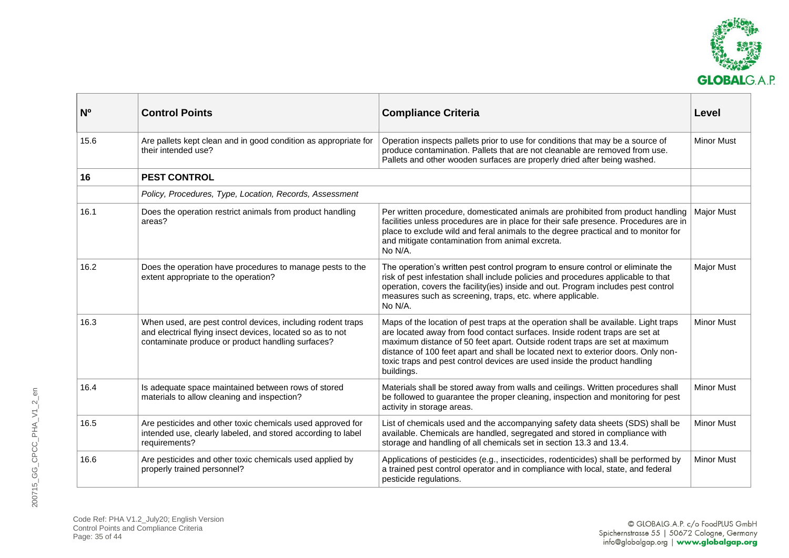

<span id="page-34-0"></span>

| <b>N°</b> | <b>Control Points</b>                                                                                                                                                          | <b>Compliance Criteria</b>                                                                                                                                                                                                                                                                                                                                                                                                       | Level             |
|-----------|--------------------------------------------------------------------------------------------------------------------------------------------------------------------------------|----------------------------------------------------------------------------------------------------------------------------------------------------------------------------------------------------------------------------------------------------------------------------------------------------------------------------------------------------------------------------------------------------------------------------------|-------------------|
| 15.6      | Are pallets kept clean and in good condition as appropriate for<br>their intended use?                                                                                         | Operation inspects pallets prior to use for conditions that may be a source of<br>produce contamination. Pallets that are not cleanable are removed from use.<br>Pallets and other wooden surfaces are properly dried after being washed.                                                                                                                                                                                        | <b>Minor Must</b> |
| 16        | <b>PEST CONTROL</b>                                                                                                                                                            |                                                                                                                                                                                                                                                                                                                                                                                                                                  |                   |
|           | Policy, Procedures, Type, Location, Records, Assessment                                                                                                                        |                                                                                                                                                                                                                                                                                                                                                                                                                                  |                   |
| 16.1      | Does the operation restrict animals from product handling<br>areas?                                                                                                            | Per written procedure, domesticated animals are prohibited from product handling<br>facilities unless procedures are in place for their safe presence. Procedures are in<br>place to exclude wild and feral animals to the degree practical and to monitor for<br>and mitigate contamination from animal excreta.<br>No N/A.                                                                                                     | <b>Major Must</b> |
| 16.2      | Does the operation have procedures to manage pests to the<br>extent appropriate to the operation?                                                                              | The operation's written pest control program to ensure control or eliminate the<br>risk of pest infestation shall include policies and procedures applicable to that<br>operation, covers the facility(ies) inside and out. Program includes pest control<br>measures such as screening, traps, etc. where applicable.<br>No N/A.                                                                                                | <b>Major Must</b> |
| 16.3      | When used, are pest control devices, including rodent traps<br>and electrical flying insect devices, located so as to not<br>contaminate produce or product handling surfaces? | Maps of the location of pest traps at the operation shall be available. Light traps<br>are located away from food contact surfaces. Inside rodent traps are set at<br>maximum distance of 50 feet apart. Outside rodent traps are set at maximum<br>distance of 100 feet apart and shall be located next to exterior doors. Only non-<br>toxic traps and pest control devices are used inside the product handling<br>buildings. | <b>Minor Must</b> |
| 16.4      | Is adequate space maintained between rows of stored<br>materials to allow cleaning and inspection?                                                                             | Materials shall be stored away from walls and ceilings. Written procedures shall<br>be followed to guarantee the proper cleaning, inspection and monitoring for pest<br>activity in storage areas.                                                                                                                                                                                                                               | <b>Minor Must</b> |
| 16.5      | Are pesticides and other toxic chemicals used approved for<br>intended use, clearly labeled, and stored according to label<br>requirements?                                    | List of chemicals used and the accompanying safety data sheets (SDS) shall be<br>available. Chemicals are handled, segregated and stored in compliance with<br>storage and handling of all chemicals set in section 13.3 and 13.4.                                                                                                                                                                                               | <b>Minor Must</b> |
| 16.6      | Are pesticides and other toxic chemicals used applied by<br>properly trained personnel?                                                                                        | Applications of pesticides (e.g., insecticides, rodenticides) shall be performed by<br>a trained pest control operator and in compliance with local, state, and federal<br>pesticide regulations.                                                                                                                                                                                                                                | <b>Minor Must</b> |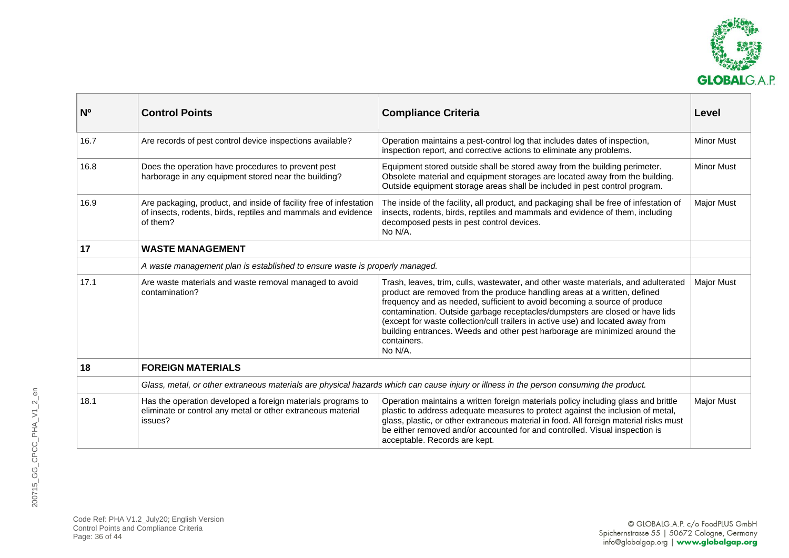

<span id="page-35-0"></span>

| N <sub>0</sub> | <b>Control Points</b>                                                                                                                           | <b>Compliance Criteria</b>                                                                                                                                                                                                                                                                                                                                                                                                                                                                                               | Level             |
|----------------|-------------------------------------------------------------------------------------------------------------------------------------------------|--------------------------------------------------------------------------------------------------------------------------------------------------------------------------------------------------------------------------------------------------------------------------------------------------------------------------------------------------------------------------------------------------------------------------------------------------------------------------------------------------------------------------|-------------------|
| 16.7           | Are records of pest control device inspections available?                                                                                       | Operation maintains a pest-control log that includes dates of inspection,<br>inspection report, and corrective actions to eliminate any problems.                                                                                                                                                                                                                                                                                                                                                                        | <b>Minor Must</b> |
| 16.8           | Does the operation have procedures to prevent pest<br>harborage in any equipment stored near the building?                                      | Equipment stored outside shall be stored away from the building perimeter.<br>Obsolete material and equipment storages are located away from the building.<br>Outside equipment storage areas shall be included in pest control program.                                                                                                                                                                                                                                                                                 | <b>Minor Must</b> |
| 16.9           | Are packaging, product, and inside of facility free of infestation<br>of insects, rodents, birds, reptiles and mammals and evidence<br>of them? | The inside of the facility, all product, and packaging shall be free of infestation of<br>insects, rodents, birds, reptiles and mammals and evidence of them, including<br>decomposed pests in pest control devices.<br>No N/A.                                                                                                                                                                                                                                                                                          | <b>Major Must</b> |
| 17             | <b>WASTE MANAGEMENT</b>                                                                                                                         |                                                                                                                                                                                                                                                                                                                                                                                                                                                                                                                          |                   |
|                | A waste management plan is established to ensure waste is properly managed.                                                                     |                                                                                                                                                                                                                                                                                                                                                                                                                                                                                                                          |                   |
| 17.1           | Are waste materials and waste removal managed to avoid<br>contamination?                                                                        | Trash, leaves, trim, culls, wastewater, and other waste materials, and adulterated<br>product are removed from the produce handling areas at a written, defined<br>frequency and as needed, sufficient to avoid becoming a source of produce<br>contamination. Outside garbage receptacles/dumpsters are closed or have lids<br>(except for waste collection/cull trailers in active use) and located away from<br>building entrances. Weeds and other pest harborage are minimized around the<br>containers.<br>No N/A. | <b>Major Must</b> |
| 18             | <b>FOREIGN MATERIALS</b>                                                                                                                        |                                                                                                                                                                                                                                                                                                                                                                                                                                                                                                                          |                   |
|                | Glass, metal, or other extraneous materials are physical hazards which can cause injury or illness in the person consuming the product.         |                                                                                                                                                                                                                                                                                                                                                                                                                                                                                                                          |                   |
| 18.1           | Has the operation developed a foreign materials programs to<br>eliminate or control any metal or other extraneous material<br>issues?           | Operation maintains a written foreign materials policy including glass and brittle<br>plastic to address adequate measures to protect against the inclusion of metal,<br>glass, plastic, or other extraneous material in food. All foreign material risks must<br>be either removed and/or accounted for and controlled. Visual inspection is<br>acceptable. Records are kept.                                                                                                                                           | <b>Major Must</b> |

<span id="page-35-1"></span>Code Ref: PHA V1.2\_July20; English Version Control Points and Compliance Criteria Page: 36 of 44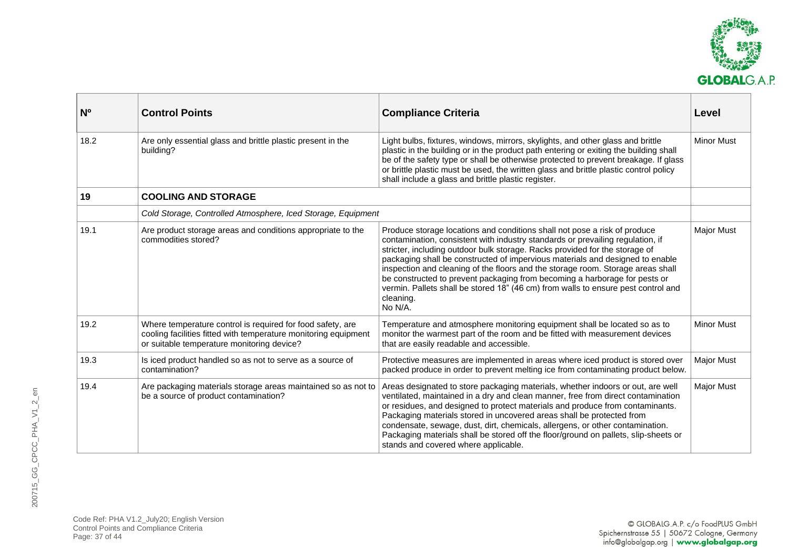

<span id="page-36-0"></span>

| N <sub>0</sub> | <b>Control Points</b>                                                                                                                                                       | <b>Compliance Criteria</b>                                                                                                                                                                                                                                                                                                                                                                                                                                                                                                                                                                                | Level             |
|----------------|-----------------------------------------------------------------------------------------------------------------------------------------------------------------------------|-----------------------------------------------------------------------------------------------------------------------------------------------------------------------------------------------------------------------------------------------------------------------------------------------------------------------------------------------------------------------------------------------------------------------------------------------------------------------------------------------------------------------------------------------------------------------------------------------------------|-------------------|
| 18.2           | Are only essential glass and brittle plastic present in the<br>building?                                                                                                    | Light bulbs, fixtures, windows, mirrors, skylights, and other glass and brittle<br>plastic in the building or in the product path entering or exiting the building shall<br>be of the safety type or shall be otherwise protected to prevent breakage. If glass<br>or brittle plastic must be used, the written glass and brittle plastic control policy<br>shall include a glass and brittle plastic register.                                                                                                                                                                                           | <b>Minor Must</b> |
| 19             | <b>COOLING AND STORAGE</b>                                                                                                                                                  |                                                                                                                                                                                                                                                                                                                                                                                                                                                                                                                                                                                                           |                   |
|                | Cold Storage, Controlled Atmosphere, Iced Storage, Equipment                                                                                                                |                                                                                                                                                                                                                                                                                                                                                                                                                                                                                                                                                                                                           |                   |
| 19.1           | Are product storage areas and conditions appropriate to the<br>commodities stored?                                                                                          | Produce storage locations and conditions shall not pose a risk of produce<br>contamination, consistent with industry standards or prevailing regulation, if<br>stricter, including outdoor bulk storage. Racks provided for the storage of<br>packaging shall be constructed of impervious materials and designed to enable<br>inspection and cleaning of the floors and the storage room. Storage areas shall<br>be constructed to prevent packaging from becoming a harborage for pests or<br>vermin. Pallets shall be stored 18" (46 cm) from walls to ensure pest control and<br>cleaning.<br>No N/A. | <b>Major Must</b> |
| 19.2           | Where temperature control is required for food safety, are<br>cooling facilities fitted with temperature monitoring equipment<br>or suitable temperature monitoring device? | Temperature and atmosphere monitoring equipment shall be located so as to<br>monitor the warmest part of the room and be fitted with measurement devices<br>that are easily readable and accessible.                                                                                                                                                                                                                                                                                                                                                                                                      | <b>Minor Must</b> |
| 19.3           | Is iced product handled so as not to serve as a source of<br>contamination?                                                                                                 | Protective measures are implemented in areas where iced product is stored over<br>packed produce in order to prevent melting ice from contaminating product below.                                                                                                                                                                                                                                                                                                                                                                                                                                        | <b>Major Must</b> |
| 19.4           | Are packaging materials storage areas maintained so as not to<br>be a source of product contamination?                                                                      | Areas designated to store packaging materials, whether indoors or out, are well<br>ventilated, maintained in a dry and clean manner, free from direct contamination<br>or residues, and designed to protect materials and produce from contaminants.<br>Packaging materials stored in uncovered areas shall be protected from<br>condensate, sewage, dust, dirt, chemicals, allergens, or other contamination.<br>Packaging materials shall be stored off the floor/ground on pallets, slip-sheets or<br>stands and covered where applicable.                                                             | <b>Major Must</b> |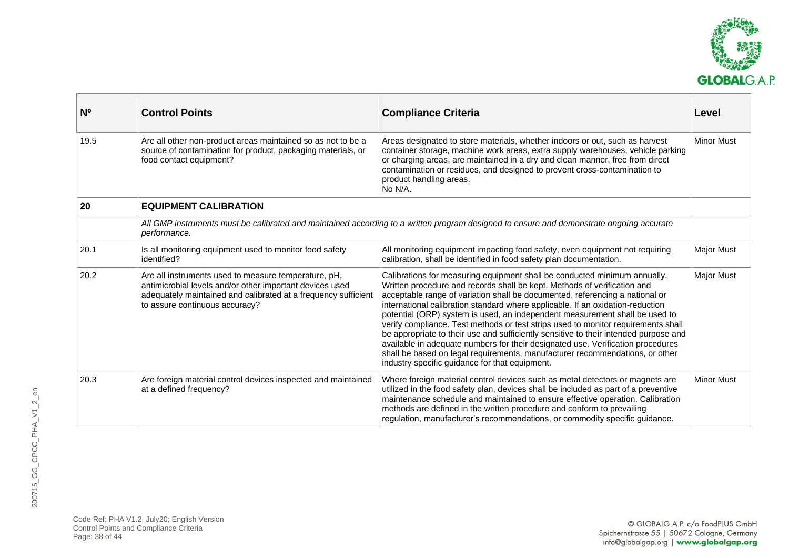

<span id="page-37-0"></span>

| N <sub>0</sub> | <b>Control Points</b>                                                                                                                                                                                                | <b>Compliance Criteria</b>                                                                                                                                                                                                                                                                                                                                                                                                                                                                                                                                                                                                                                                                                                                                                                               | Level             |
|----------------|----------------------------------------------------------------------------------------------------------------------------------------------------------------------------------------------------------------------|----------------------------------------------------------------------------------------------------------------------------------------------------------------------------------------------------------------------------------------------------------------------------------------------------------------------------------------------------------------------------------------------------------------------------------------------------------------------------------------------------------------------------------------------------------------------------------------------------------------------------------------------------------------------------------------------------------------------------------------------------------------------------------------------------------|-------------------|
| 19.5           | Are all other non-product areas maintained so as not to be a<br>source of contamination for product, packaging materials, or<br>food contact equipment?                                                              | Areas designated to store materials, whether indoors or out, such as harvest<br>container storage, machine work areas, extra supply warehouses, vehicle parking<br>or charging areas, are maintained in a dry and clean manner, free from direct<br>contamination or residues, and designed to prevent cross-contamination to<br>product handling areas.<br>No N/A.                                                                                                                                                                                                                                                                                                                                                                                                                                      | <b>Minor Must</b> |
| 20             | <b>EQUIPMENT CALIBRATION</b>                                                                                                                                                                                         |                                                                                                                                                                                                                                                                                                                                                                                                                                                                                                                                                                                                                                                                                                                                                                                                          |                   |
|                | performance.                                                                                                                                                                                                         | All GMP instruments must be calibrated and maintained according to a written program designed to ensure and demonstrate ongoing accurate                                                                                                                                                                                                                                                                                                                                                                                                                                                                                                                                                                                                                                                                 |                   |
| 20.1           | Is all monitoring equipment used to monitor food safety<br>identified?                                                                                                                                               | All monitoring equipment impacting food safety, even equipment not requiring<br>calibration, shall be identified in food safety plan documentation.                                                                                                                                                                                                                                                                                                                                                                                                                                                                                                                                                                                                                                                      | <b>Major Must</b> |
| 20.2           | Are all instruments used to measure temperature, pH,<br>antimicrobial levels and/or other important devices used<br>adequately maintained and calibrated at a frequency sufficient<br>to assure continuous accuracy? | Calibrations for measuring equipment shall be conducted minimum annually.<br>Written procedure and records shall be kept. Methods of verification and<br>acceptable range of variation shall be documented, referencing a national or<br>international calibration standard where applicable. If an oxidation-reduction<br>potential (ORP) system is used, an independent measurement shall be used to<br>verify compliance. Test methods or test strips used to monitor requirements shall<br>be appropriate to their use and sufficiently sensitive to their intended purpose and<br>available in adequate numbers for their designated use. Verification procedures<br>shall be based on legal requirements, manufacturer recommendations, or other<br>industry specific guidance for that equipment. | <b>Major Must</b> |
| 20.3           | Are foreign material control devices inspected and maintained<br>at a defined frequency?                                                                                                                             | Where foreign material control devices such as metal detectors or magnets are<br>utilized in the food safety plan, devices shall be included as part of a preventive<br>maintenance schedule and maintained to ensure effective operation. Calibration<br>methods are defined in the written procedure and conform to prevailing<br>regulation, manufacturer's recommendations, or commodity specific guidance.                                                                                                                                                                                                                                                                                                                                                                                          | <b>Minor Must</b> |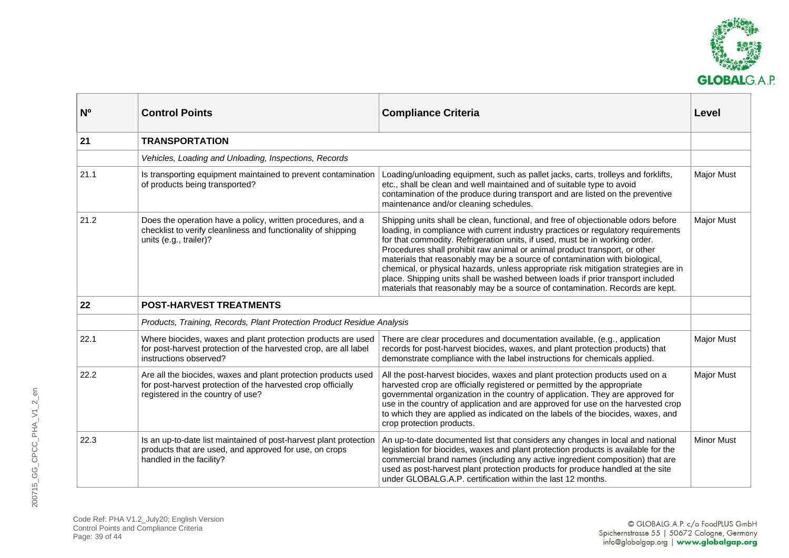

<span id="page-38-1"></span><span id="page-38-0"></span>

| <b>N°</b> | <b>Control Points</b>                                                                                                                                               | <b>Compliance Criteria</b>                                                                                                                                                                                                                                                                                                                                                                                                                                                                                                                                                                                                                                                    | Level             |
|-----------|---------------------------------------------------------------------------------------------------------------------------------------------------------------------|-------------------------------------------------------------------------------------------------------------------------------------------------------------------------------------------------------------------------------------------------------------------------------------------------------------------------------------------------------------------------------------------------------------------------------------------------------------------------------------------------------------------------------------------------------------------------------------------------------------------------------------------------------------------------------|-------------------|
| 21        | <b>TRANSPORTATION</b>                                                                                                                                               |                                                                                                                                                                                                                                                                                                                                                                                                                                                                                                                                                                                                                                                                               |                   |
|           | Vehicles, Loading and Unloading, Inspections, Records                                                                                                               |                                                                                                                                                                                                                                                                                                                                                                                                                                                                                                                                                                                                                                                                               |                   |
| 21.1      | Is transporting equipment maintained to prevent contamination<br>of products being transported?                                                                     | Loading/unloading equipment, such as pallet jacks, carts, trolleys and forklifts,<br>etc., shall be clean and well maintained and of suitable type to avoid<br>contamination of the produce during transport and are listed on the preventive<br>maintenance and/or cleaning schedules.                                                                                                                                                                                                                                                                                                                                                                                       | <b>Major Must</b> |
| 21.2      | Does the operation have a policy, written procedures, and a<br>checklist to verify cleanliness and functionality of shipping<br>units (e.g., trailer)?              | Shipping units shall be clean, functional, and free of objectionable odors before<br>loading, in compliance with current industry practices or regulatory requirements<br>for that commodity. Refrigeration units, if used, must be in working order.<br>Procedures shall prohibit raw animal or animal product transport, or other<br>materials that reasonably may be a source of contamination with biological,<br>chemical, or physical hazards, unless appropriate risk mitigation strategies are in<br>place. Shipping units shall be washed between loads if prior transport included<br>materials that reasonably may be a source of contamination. Records are kept. | <b>Major Must</b> |
| 22        | <b>POST-HARVEST TREATMENTS</b>                                                                                                                                      |                                                                                                                                                                                                                                                                                                                                                                                                                                                                                                                                                                                                                                                                               |                   |
|           | Products, Training, Records, Plant Protection Product Residue Analysis                                                                                              |                                                                                                                                                                                                                                                                                                                                                                                                                                                                                                                                                                                                                                                                               |                   |
| 22.1      | Where biocides, waxes and plant protection products are used<br>for post-harvest protection of the harvested crop, are all label<br>instructions observed?          | There are clear procedures and documentation available, (e.g., application<br>records for post-harvest biocides, waxes, and plant protection products) that<br>demonstrate compliance with the label instructions for chemicals applied.                                                                                                                                                                                                                                                                                                                                                                                                                                      | <b>Major Must</b> |
| 22.2      | Are all the biocides, waxes and plant protection products used<br>for post-harvest protection of the harvested crop officially<br>registered in the country of use? | All the post-harvest biocides, waxes and plant protection products used on a<br>harvested crop are officially registered or permitted by the appropriate<br>governmental organization in the country of application. They are approved for<br>use in the country of application and are approved for use on the harvested crop<br>to which they are applied as indicated on the labels of the biocides, waxes, and<br>crop protection products.                                                                                                                                                                                                                               | <b>Major Must</b> |
| 22.3      | Is an up-to-date list maintained of post-harvest plant protection<br>products that are used, and approved for use, on crops<br>handled in the facility?             | An up-to-date documented list that considers any changes in local and national<br>legislation for biocides, waxes and plant protection products is available for the<br>commercial brand names (including any active ingredient composition) that are<br>used as post-harvest plant protection products for produce handled at the site<br>under GLOBALG.A.P. certification within the last 12 months.                                                                                                                                                                                                                                                                        | <b>Minor Must</b> |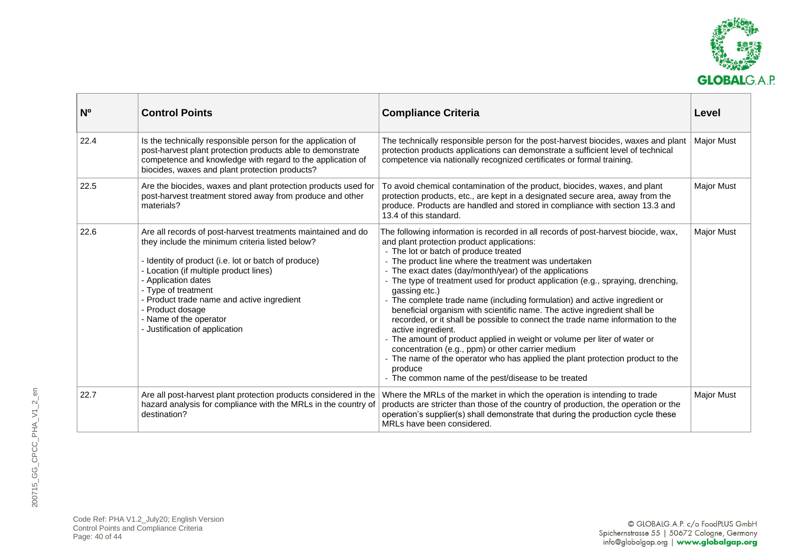

| N <sub>o</sub> | <b>Control Points</b>                                                                                                                                                                                                                                                                                                                                                                         | <b>Compliance Criteria</b>                                                                                                                                                                                                                                                                                                                                                                                                                                                                                                                                                                                                                                                                                                                                                                                                                                                                                                                                | Level             |
|----------------|-----------------------------------------------------------------------------------------------------------------------------------------------------------------------------------------------------------------------------------------------------------------------------------------------------------------------------------------------------------------------------------------------|-----------------------------------------------------------------------------------------------------------------------------------------------------------------------------------------------------------------------------------------------------------------------------------------------------------------------------------------------------------------------------------------------------------------------------------------------------------------------------------------------------------------------------------------------------------------------------------------------------------------------------------------------------------------------------------------------------------------------------------------------------------------------------------------------------------------------------------------------------------------------------------------------------------------------------------------------------------|-------------------|
| 22.4           | Is the technically responsible person for the application of<br>post-harvest plant protection products able to demonstrate<br>competence and knowledge with regard to the application of<br>biocides, waxes and plant protection products?                                                                                                                                                    | The technically responsible person for the post-harvest biocides, waxes and plant<br>protection products applications can demonstrate a sufficient level of technical<br>competence via nationally recognized certificates or formal training.                                                                                                                                                                                                                                                                                                                                                                                                                                                                                                                                                                                                                                                                                                            | <b>Major Must</b> |
| 22.5           | Are the biocides, waxes and plant protection products used for<br>post-harvest treatment stored away from produce and other<br>materials?                                                                                                                                                                                                                                                     | To avoid chemical contamination of the product, biocides, waxes, and plant<br>protection products, etc., are kept in a designated secure area, away from the<br>produce. Products are handled and stored in compliance with section 13.3 and<br>13.4 of this standard.                                                                                                                                                                                                                                                                                                                                                                                                                                                                                                                                                                                                                                                                                    | <b>Major Must</b> |
| 22.6           | Are all records of post-harvest treatments maintained and do<br>they include the minimum criteria listed below?<br>- Identity of product (i.e. lot or batch of produce)<br>- Location (if multiple product lines)<br>- Application dates<br>- Type of treatment<br>- Product trade name and active ingredient<br>- Product dosage<br>- Name of the operator<br>- Justification of application | The following information is recorded in all records of post-harvest biocide, wax,<br>and plant protection product applications:<br>- The lot or batch of produce treated<br>- The product line where the treatment was undertaken<br>- The exact dates (day/month/year) of the applications<br>- The type of treatment used for product application (e.g., spraying, drenching,<br>gassing etc.)<br>- The complete trade name (including formulation) and active ingredient or<br>beneficial organism with scientific name. The active ingredient shall be<br>recorded, or it shall be possible to connect the trade name information to the<br>active ingredient.<br>- The amount of product applied in weight or volume per liter of water or<br>concentration (e.g., ppm) or other carrier medium<br>- The name of the operator who has applied the plant protection product to the<br>produce<br>- The common name of the pest/disease to be treated | <b>Major Must</b> |
| 22.7           | Are all post-harvest plant protection products considered in the<br>hazard analysis for compliance with the MRLs in the country of<br>destination?                                                                                                                                                                                                                                            | Where the MRLs of the market in which the operation is intending to trade<br>products are stricter than those of the country of production, the operation or the<br>operation's supplier(s) shall demonstrate that during the production cycle these<br>MRLs have been considered.                                                                                                                                                                                                                                                                                                                                                                                                                                                                                                                                                                                                                                                                        | <b>Major Must</b> |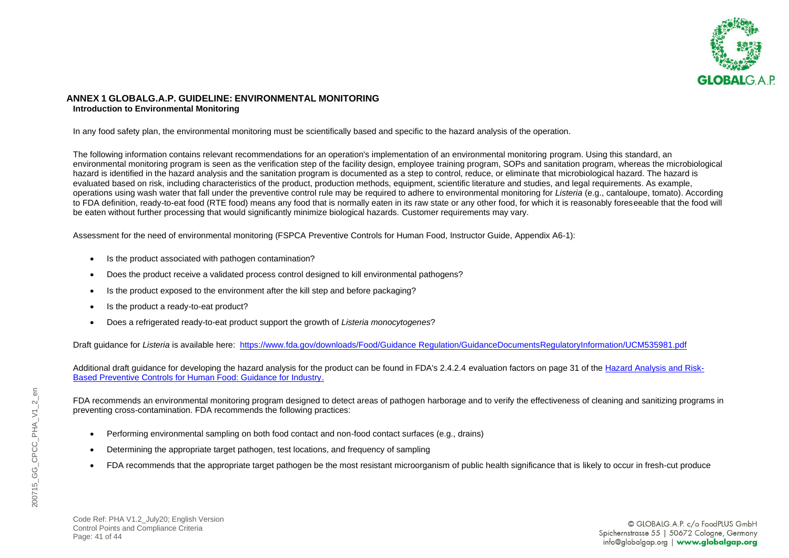

#### <span id="page-40-0"></span>**ANNEX 1 GLOBALG.A.P. GUIDELINE: ENVIRONMENTAL MONITORING Introduction to Environmental Monitoring**

In any food safety plan, the environmental monitoring must be scientifically based and specific to the hazard analysis of the operation.

The following information contains relevant recommendations for an operation's implementation of an environmental monitoring program. Using this standard, an environmental monitoring program is seen as the verification step of the facility design, employee training program, SOPs and sanitation program, whereas the microbiological hazard is identified in the hazard analysis and the sanitation program is documented as a step to control, reduce, or eliminate that microbiological hazard. The hazard is evaluated based on risk, including characteristics of the product, production methods, equipment, scientific literature and studies, and legal requirements. As example, operations using wash water that fall under the preventive control rule may be required to adhere to environmental monitoring for *Listeria* (e.g., cantaloupe, tomato). According to FDA definition, ready-to-eat food (RTE food) means any food that is normally eaten in its raw state or any other food, for which it is reasonably foreseeable that the food will be eaten without further processing that would significantly minimize biological hazards. Customer requirements may vary.

Assessment for the need of environmental monitoring (FSPCA Preventive Controls for Human Food, Instructor Guide, Appendix A6-1):

- Is the product associated with pathogen contamination?
- Does the product receive a validated process control designed to kill environmental pathogens?
- Is the product exposed to the environment after the kill step and before packaging?
- Is the product a ready-to-eat product?
- Does a refrigerated ready-to-eat product support the growth of *Listeria monocytogenes*?

Draft guidance for *Listeria* is available here: [https://www.fda.gov/downloads/Food/Guidance Regulation/GuidanceDocumentsRegulatoryInformation/UCM535981.pdf](https://www.fda.gov/media/102633/download)

Additional draft guidance for developing the hazard analysis for the product can be found in FDA's 2.4.2.4 evaluation factors on page 31 of th[e Hazard Analysis and Risk-](https://www.fda.gov/downloads/Food/GuidanceRegulation/GuidanceDocumentsRegulatoryInformation/UCM517610.pdf)[Based Preventive Controls for Human Food: Guidance for Industry.](https://www.fda.gov/downloads/Food/GuidanceRegulation/GuidanceDocumentsRegulatoryInformation/UCM517610.pdf)

FDA recommends an environmental monitoring program designed to detect areas of pathogen harborage and to verify the effectiveness of cleaning and sanitizing programs in preventing cross-contamination. FDA recommends the following practices:

- Performing environmental sampling on both food contact and non-food contact surfaces (e.g., drains)
- Determining the appropriate target pathogen, test locations, and frequency of sampling
- FDA recommends that the appropriate target pathogen be the most resistant microorganism of public health significance that is likely to occur in fresh-cut produce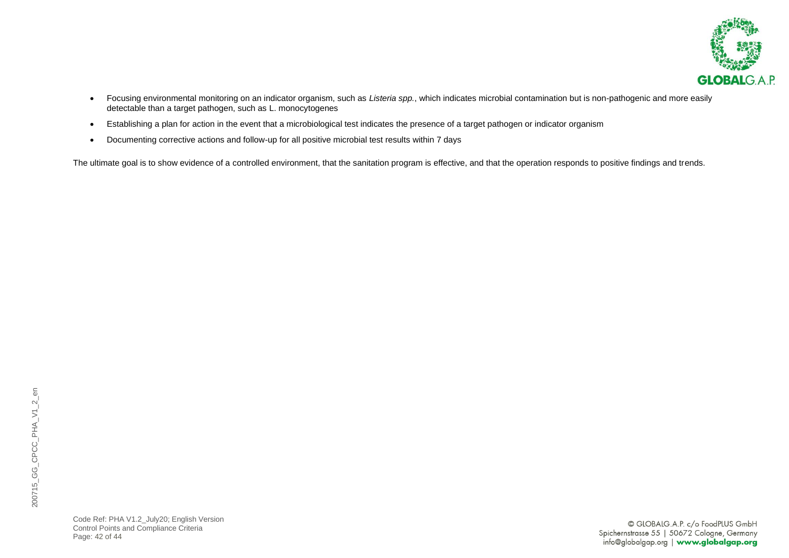

- Focusing environmental monitoring on an indicator organism, such as *Listeria spp.*, which indicates microbial contamination but is non-pathogenic and more easily detectable than a target pathogen, such as L. monocytogenes
- Establishing a plan for action in the event that a microbiological test indicates the presence of a target pathogen or indicator organism
- Documenting corrective actions and follow-up for all positive microbial test results within 7 days

The ultimate goal is to show evidence of a controlled environment, that the sanitation program is effective, and that the operation responds to positive findings and trends.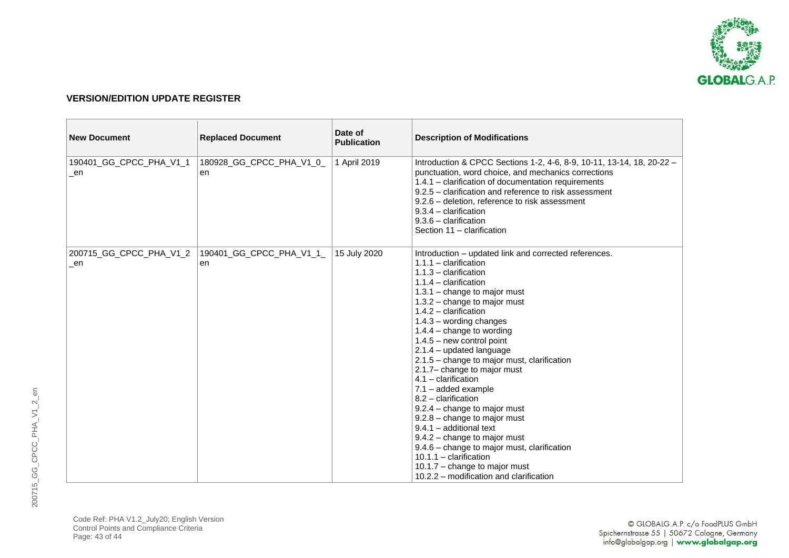

#### <span id="page-42-0"></span>**VERSION/EDITION UPDATE REGISTER**

| <b>New Document</b>           | <b>Replaced Document</b>       | Date of<br><b>Publication</b> | <b>Description of Modifications</b>                                                                                                                                                                                                                                                                                                                                                                                                                                                                                                                                                                                                                                                                                                                                                                   |
|-------------------------------|--------------------------------|-------------------------------|-------------------------------------------------------------------------------------------------------------------------------------------------------------------------------------------------------------------------------------------------------------------------------------------------------------------------------------------------------------------------------------------------------------------------------------------------------------------------------------------------------------------------------------------------------------------------------------------------------------------------------------------------------------------------------------------------------------------------------------------------------------------------------------------------------|
| 190401_GG_CPCC_PHA_V1_1<br>en | 180928_GG_CPCC_PHA_V1_0_<br>en | 1 April 2019                  | Introduction & CPCC Sections 1-2, 4-6, 8-9, 10-11, 13-14, 18, 20-22 -<br>punctuation, word choice, and mechanics corrections<br>1.4.1 - clarification of documentation requirements<br>9.2.5 – clarification and reference to risk assessment<br>9.2.6 – deletion, reference to risk assessment<br>$9.3.4 -$ clarification<br>$9.3.6 -$ clarification<br>Section 11 - clarification                                                                                                                                                                                                                                                                                                                                                                                                                   |
| 200715_GG_CPCC_PHA_V1_2<br>en | 190401_GG_CPCC_PHA_V1_1_<br>en | 15 July 2020                  | Introduction - updated link and corrected references.<br>$1.1.1 -$ clarification<br>$1.1.3 -$ clarification<br>$1.1.4 -$ clarification<br>1.3.1 - change to major must<br>1.3.2 - change to major must<br>$1.4.2 -$ clarification<br>$1.4.3$ – wording changes<br>$1.4.4$ – change to wording<br>$1.4.5 - new control point$<br>2.1.4 - updated language<br>2.1.5 - change to major must, clarification<br>2.1.7- change to major must<br>$4.1 -$ clarification<br>$7.1 - added example$<br>$8.2$ – clarification<br>9.2.4 - change to major must<br>9.2.8 - change to major must<br>$9.4.1 -$ additional text<br>9.4.2 - change to major must<br>9.4.6 - change to major must, clarification<br>$10.1.1 -$ clarification<br>10.1.7 – change to major must<br>10.2.2 – modification and clarification |